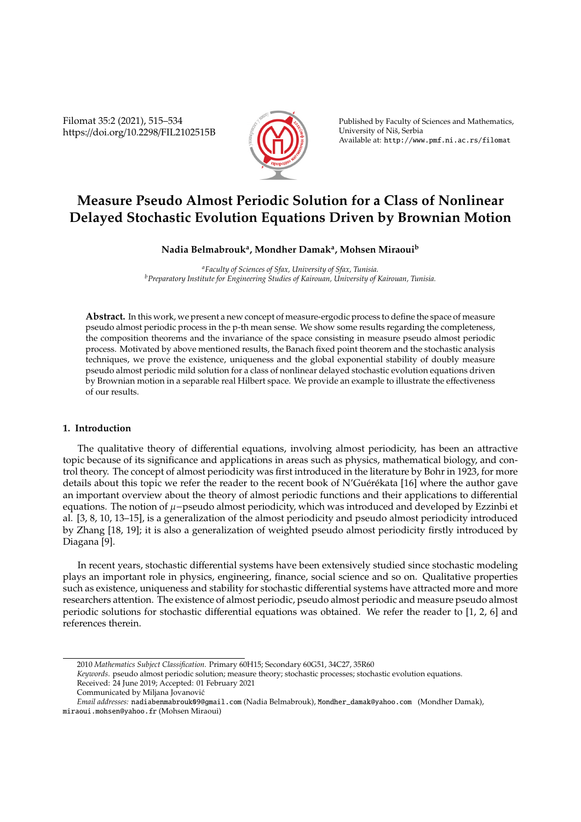Filomat 35:2 (2021), 515–534 https://doi.org/10.2298/FIL2102515B



Published by Faculty of Sciences and Mathematics, University of Niš, Serbia Available at: http://www.pmf.ni.ac.rs/filomat

# **Measure Pseudo Almost Periodic Solution for a Class of Nonlinear Delayed Stochastic Evolution Equations Driven by Brownian Motion**

## **Nadia Belmabrouk<sup>a</sup> , Mondher Damak<sup>a</sup> , Mohsen Miraoui<sup>b</sup>**

*<sup>a</sup>Faculty of Sciences of Sfax, University of Sfax, Tunisia. <sup>b</sup>Preparatory Institute for Engineering Studies of Kairouan, University of Kairouan, Tunisia.*

**Abstract.** In this work, we present a new concept of measure-ergodic process to define the space of measure pseudo almost periodic process in the p-th mean sense. We show some results regarding the completeness, the composition theorems and the invariance of the space consisting in measure pseudo almost periodic process. Motivated by above mentioned results, the Banach fixed point theorem and the stochastic analysis techniques, we prove the existence, uniqueness and the global exponential stability of doubly measure pseudo almost periodic mild solution for a class of nonlinear delayed stochastic evolution equations driven by Brownian motion in a separable real Hilbert space. We provide an example to illustrate the effectiveness of our results.

#### **1. Introduction**

The qualitative theory of differential equations, involving almost periodicity, has been an attractive topic because of its significance and applications in areas such as physics, mathematical biology, and control theory. The concept of almost periodicity was first introduced in the literature by Bohr in 1923, for more details about this topic we refer the reader to the recent book of N'Guérékata [16] where the author gave an important overview about the theory of almost periodic functions and their applications to differential equations. The notion of  $μ$ -pseudo almost periodicity, which was introduced and developed by Ezzinbi et al. [3, 8, 10, 13–15], is a generalization of the almost periodicity and pseudo almost periodicity introduced by Zhang [18, 19]; it is also a generalization of weighted pseudo almost periodicity firstly introduced by Diagana [9].

In recent years, stochastic differential systems have been extensively studied since stochastic modeling plays an important role in physics, engineering, finance, social science and so on. Qualitative properties such as existence, uniqueness and stability for stochastic differential systems have attracted more and more researchers attention. The existence of almost periodic, pseudo almost periodic and measure pseudo almost periodic solutions for stochastic differential equations was obtained. We refer the reader to [1, 2, 6] and references therein.

<sup>2010</sup> *Mathematics Subject Classification*. Primary 60H15; Secondary 60G51, 34C27, 35R60

*Keywords*. pseudo almost periodic solution; measure theory; stochastic processes; stochastic evolution equations. Received: 24 June 2019; Accepted: 01 February 2021

Communicated by Miljana Jovanovic´

*Email addresses:* nadiabenmabrouk09@gmail.com (Nadia Belmabrouk), Mondher\_damak@yahoo.com (Mondher Damak), miraoui.mohsen@yahoo.fr (Mohsen Miraoui)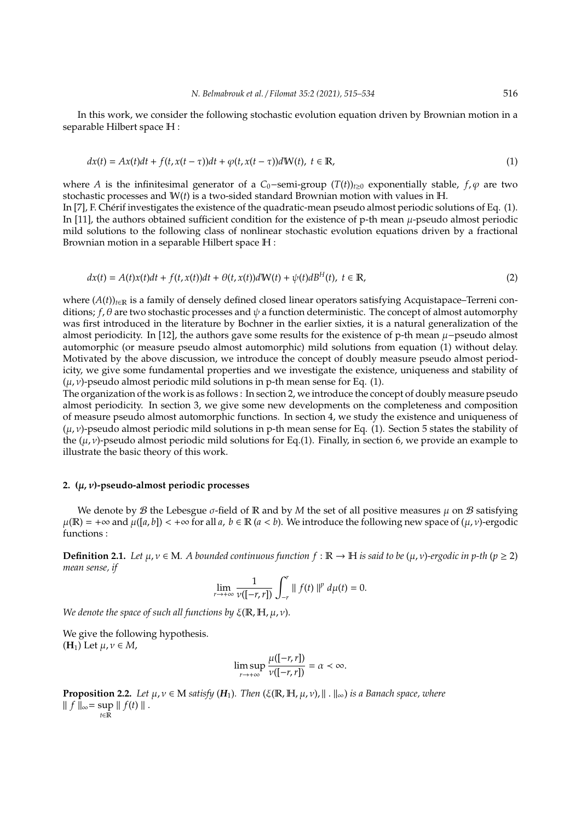In this work, we consider the following stochastic evolution equation driven by Brownian motion in a separable Hilbert space H :

$$
dx(t) = Ax(t)dt + f(t, x(t-\tau))dt + \varphi(t, x(t-\tau))dW(t), \ t \in \mathbb{R},
$$
\n(1)

where *A* is the infinitesimal generator of a *C*<sub>0</sub>−semi-group (*T*(*t*))<sub>*t*≥0</sub> exponentially stable, *f*, *ϕ* are two stochastic processes and W(*t*) is a two-sided standard Brownian motion with values in H. In [7], F. Chérif investigates the existence of the quadratic-mean pseudo almost periodic solutions of Eq. (1). In [11], the authors obtained sufficient condition for the existence of p-th mean  $\mu$ -pseudo almost periodic mild solutions to the following class of nonlinear stochastic evolution equations driven by a fractional

Brownian motion in a separable Hilbert space H :

$$
dx(t) = A(t)x(t)dt + f(t, x(t))dt + \Theta(t, x(t))dW(t) + \psi(t)dB^{H}(t), \ t \in \mathbb{R},
$$
\n(2)

where  $(A(t))_{t\in\mathbb{R}}$  is a family of densely defined closed linear operators satisfying Acquistapace–Terreni conditions;  $f, \theta$  are two stochastic processes and  $\psi$  a function deterministic. The concept of almost automorphy was first introduced in the literature by Bochner in the earlier sixties, it is a natural generalization of the almost periodicity. In [12], the authors gave some results for the existence of p-th mean  $\mu$ −pseudo almost automorphic (or measure pseudo almost automorphic) mild solutions from equation (1) without delay. Motivated by the above discussion, we introduce the concept of doubly measure pseudo almost periodicity, we give some fundamental properties and we investigate the existence, uniqueness and stability of  $(\mu, \nu)$ -pseudo almost periodic mild solutions in p-th mean sense for Eq. (1).

The organization of the work is as follows : In section 2, we introduce the concept of doubly measure pseudo almost periodicity. In section 3, we give some new developments on the completeness and composition of measure pseudo almost automorphic functions. In section 4, we study the existence and uniqueness of  $(\mu, \nu)$ -pseudo almost periodic mild solutions in p-th mean sense for Eq. (1). Section 5 states the stability of the  $(\mu, \nu)$ -pseudo almost periodic mild solutions for Eq.(1). Finally, in section 6, we provide an example to illustrate the basic theory of this work.

#### **2. (**µ, ν**)-pseudo-almost periodic processes**

We denote by B the Lebesgue  $\sigma$ -field of R and by M the set of all positive measures  $\mu$  on B satisfying  $\mu(\mathbb{R}) = +\infty$  and  $\mu([a, b]) < +\infty$  for all a,  $b \in \mathbb{R}$  ( $a < b$ ). We introduce the following new space of  $(\mu, \nu)$ -ergodic functions :

**Definition 2.1.** *Let*  $\mu, \nu \in M$ *. A bounded continuous function*  $f : \mathbb{R} \to \mathbb{H}$  *is said to be*  $(\mu, \nu)$ *-ergodic in p-th* ( $p \ge 2$ ) *mean sense, if*

$$
\lim_{r \to +\infty} \frac{1}{\nu([-r,r])} \int_{-r}^{r} || f(t) ||^{p} d\mu(t) = 0.
$$

*We denote the space of such all functions by* ξ(R, H, µ, ν).

We give the following hypothesis.  $(H_1)$  Let  $\mu, \nu \in M$ ,

$$
\limsup_{r \to +\infty} \frac{\mu([-r,r])}{\nu([-r,r])} = \alpha < \infty.
$$

**Proposition 2.2.** *Let*  $\mu, \nu \in M$  *satisfy* ( $H_1$ )*. Then* ( $\xi(\mathbb{R}, \mathbb{H}, \mu, \nu)$ ,  $\|\cdot\|_{\infty}$ ) *is a Banach space, where*  $\| f \|_{\infty} = \sup \| f(t) \|$ . *t*∈R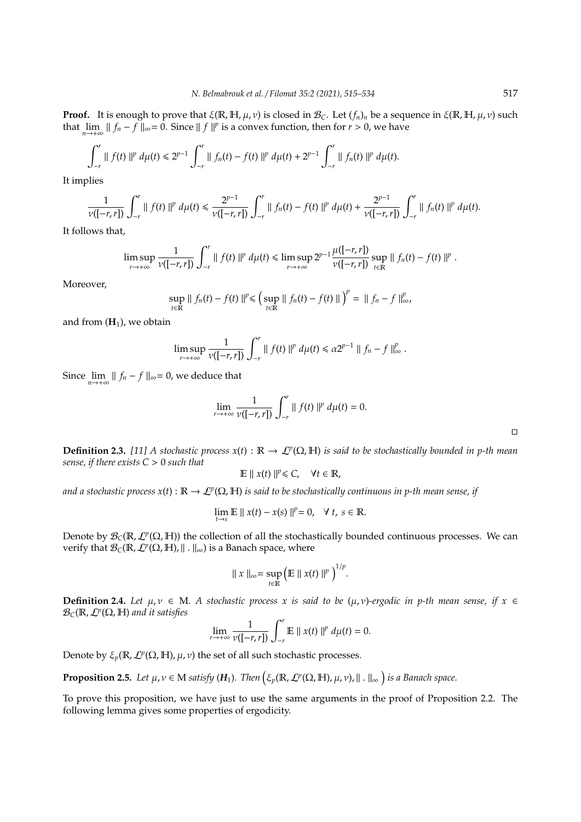**Proof.** It is enough to prove that  $\xi(\mathbb{R}, \mathbb{H}, \mu, \nu)$  is closed in  $\mathcal{B}_C$ . Let  $(f_n)_n$  be a sequence in  $\xi(\mathbb{R}, \mathbb{H}, \mu, \nu)$  such that  $\lim_{n \to +\infty} || f_n - f ||_{\infty} = 0$ . Since  $|| f ||^p$  is a convex function, then for  $r > 0$ , we have

$$
\int_{-r}^{r} || f(t) ||^{p} d\mu(t) \leq 2^{p-1} \int_{-r}^{r} || f_{n}(t) - f(t) ||^{p} d\mu(t) + 2^{p-1} \int_{-r}^{r} || f_{n}(t) ||^{p} d\mu(t).
$$

It implies

$$
\frac{1}{\nu([-r,r])}\int_{-r}^r\|f(t)\|^p\ d\mu(t)\leq \frac{2^{p-1}}{\nu([-r,r])}\int_{-r}^r\|f_n(t)-f(t)\|^p\ d\mu(t)+\frac{2^{p-1}}{\nu([-r,r])}\int_{-r}^r\|f_n(t)\|^p\ d\mu(t).
$$

It follows that,

$$
\limsup_{r\to+\infty}\frac{1}{\nu([-r,r])}\int_{-r}^r\parallel f(t)\parallel^p d\mu(t)\leq \limsup_{r\to+\infty}2^{p-1}\frac{\mu([-r,r])}{\nu([-r,r])}\sup_{t\in\mathbb{R}}\parallel f_n(t)-f(t)\parallel^p.
$$

Moreover,

$$
\sup_{t\in\mathbb{R}}\parallel f_n(t)-f(t)\parallel^{p}\leq \left(\sup_{t\in\mathbb{R}}\parallel f_n(t)-f(t)\parallel\right)^{p}=\parallel f_n-f\parallel_{\infty}^p,
$$

and from  $(\mathbf{H}_1)$ , we obtain

$$
\limsup_{r \to +\infty} \frac{1}{\nu([-r,r])} \int_{-r}^{r} || f(t) ||^{p} d\mu(t) \le \alpha 2^{p-1} || f_{n} - f ||_{\infty}^{p}.
$$

Since  $\lim_{n \to +\infty} || f_n - f ||_{\infty} = 0$ , we deduce that

$$
\lim_{r\to+\infty}\frac{1}{\nu([-r,r])}\int_{-r}^r\parallel f(t)\parallel^p d\mu(t)=0.
$$

**Definition 2.3.** [11] A stochastic process  $x(t): \mathbb{R} \to L^p(\Omega, \mathbb{H})$  is said to be stochastically bounded in p-th mean *sense, if there exists C* > 0 *such that*

$$
\mathbb{E} \parallel x(t) \parallel^{p} \leq C, \quad \forall t \in \mathbb{R},
$$

and a stochastic process  $x(t): \mathbb{R} \to L^p(\Omega,\mathbb{H})$  is said to be stochastically continuous in p-th mean sense, if

$$
\lim_{t \to s} \mathbb{E} \parallel x(t) - x(s) \parallel^{p} = 0, \quad \forall \ t, s \in \mathbb{R}.
$$

Denote by  $\mathcal{B}_C(\mathbb{R},\mathcal{L}^p(\Omega,\mathbb{H}))$  the collection of all the stochastically bounded continuous processes. We can verify that  $\mathcal{B}_C(\mathbb{R}, \mathcal{L}^p(\Omega, \mathbb{H}), ||. ||_{\infty})$  is a Banach space, where

$$
\|x\|_{\infty}=\sup_{t\in\mathbb{R}}\left(\mathbb{E}\left\|x(t)\right\|^p\right)^{1/p}.
$$

**Definition 2.4.** *Let*  $\mu, \nu \in M$ . *A stochastic process x is said to be*  $(\mu, \nu)$ *-ergodic in p-th mean sense, if*  $x \in$  $\mathcal{B}_{\text{C}}(\mathbb{R}, \mathcal{L}^p(\Omega, \mathbb{H})$  and it satisfies

$$
\lim_{r\to+\infty}\frac{1}{\nu([-r,r])}\int_{-r}^r\mathbb{E}\parallel x(t)\parallel^p d\mu(t)=0.
$$

Denote by  $\xi_p(\mathbb{R}, \mathcal{L}^p(\Omega, \mathbb{H}), \mu, \nu)$  the set of all such stochastic processes.

**Proposition 2.5.** Let  $\mu, \nu \in M$  satisfy  $(H_1)$ . Then  $(\xi_p(\mathbb{R}, \mathcal{L}^p(\Omega, \mathbb{H}), \mu, \nu), \| \cdot \|_{\infty})$  is a Banach space.

To prove this proposition, we have just to use the same arguments in the proof of Proposition 2.2. The following lemma gives some properties of ergodicity.

 $\Box$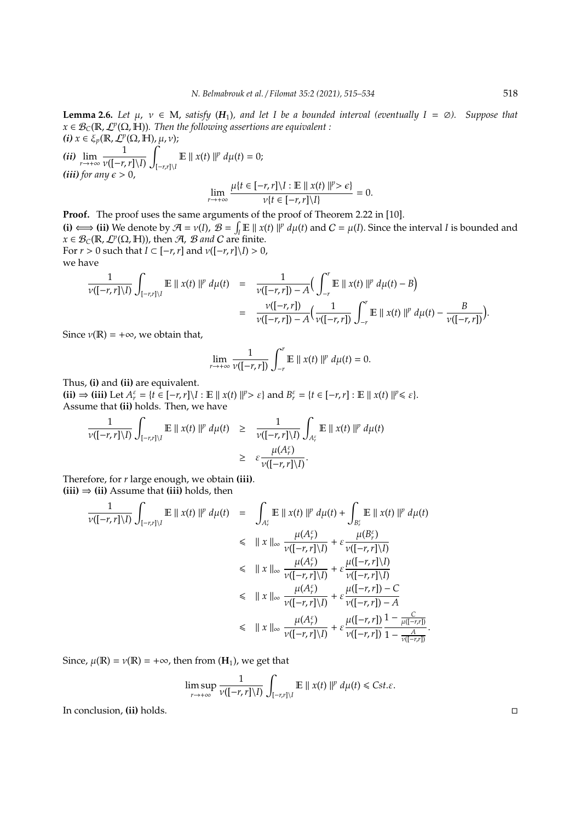**Lemma 2.6.** *Let* μ,  $ν ∈ M$ , *satisfy* ( $H_1$ ), and let I be a bounded interval (eventually I = ∅). Suppose that  $x\in\mathcal{B}_\textsf{C}(\mathbb{R},\mathcal{L}^p(\Omega,\mathbb{H}))$ . Then the following assertions are equivalent :  $(i)$   $x \in \xi_p(\mathbb{R}, \mathcal{L}^p(\Omega, \mathbb{H}), \mu, \nu);$ 

 $(iii)$   $\lim_{r \to +\infty} \frac{1}{\nu([-r,r])}$ ν([−*r*,*r*]\*I*)  $\overline{a}$ [−*r*,*r*]\*I*  $\mathbb{E} \parallel x(t) \parallel^p d\mu(t) = 0;$ *(iii)* for any  $\epsilon > 0$ ,

$$
\lim_{r \to +\infty} \frac{\mu\{t \in [-r, r] \setminus I : \mathbb{E} \mid x(t) \mid l^p > \epsilon\}}{\nu\{t \in [-r, r] \setminus I\}} = 0.
$$

**Proof.** The proof uses the same arguments of the proof of Theorem 2.22 in [10]. **(i)**  $\iff$  **(ii)** We denote by  $\mathcal{A} = v(I)$ ,  $\mathcal{B} = \int_I \mathbb{E} ||x(t)||^p d\mu(t)$  and  $C = \mu(I)$ . Since the interval *I* is bounded and  $x \in \mathcal{B}_C(\mathbb{R}, \mathcal{L}^p(\Omega, \mathbb{H}))$ , then  $\mathcal{A}, \mathcal{B}$  *and*  $C$  are finite. For  $r > 0$  such that  $I \subset [-r, r]$  and  $\nu([-r, r]\setminus I) > 0$ , we have

$$
\frac{1}{\nu([-r,r]\setminus I)}\int_{[-r,r]\setminus I} \mathbb{E} \parallel x(t)\parallel^p d\mu(t) = \frac{1}{\nu([-r,r])-A}\Big(\int_{-r}^r \mathbb{E} \parallel x(t)\parallel^p d\mu(t) - B\Big) \n= \frac{\nu([-r,r])}{\nu([-r,r])-A}\Big(\frac{1}{\nu([-r,r])}\int_{-r}^r \mathbb{E} \parallel x(t)\parallel^p d\mu(t) - \frac{B}{\nu([-r,r])}\Big).
$$

Since  $\nu(\mathbb{R}) = +\infty$ , we obtain that,

$$
\lim_{r\to+\infty}\frac{1}{\nu([-r,r])}\int_{-r}^r\mathbb{E}\parallel x(t)\parallel^p d\mu(t)=0.
$$

Thus, **(i)** and **(ii)** are equivalent.

(ii)  $\Rightarrow$  (iii) Let  $A_r^{\varepsilon} = \{t \in [-r, r] \setminus I : \mathbb{E} \mid x(t) \mid l^p > \varepsilon\}$  and  $B_r^{\varepsilon} = \{t \in [-r, r] : \mathbb{E} \mid x(t) \mid l^p \le \varepsilon\}.$ Assume that **(ii)** holds. Then, we have

$$
\frac{1}{\nu([-r,r]\backslash I)}\int_{[-r,r]\backslash I}\mathbb{E}\parallel x(t)\parallel^p d\mu(t) \geq \frac{1}{\nu([-r,r]\backslash I)}\int_{A_r^{\varepsilon}}\mathbb{E}\parallel x(t)\parallel^p d\mu(t) \geq \varepsilon \frac{\mu(A_r^{\varepsilon})}{\nu([-r,r]\backslash I)}.
$$

Therefore, for *r* large enough, we obtain **(iii)**.  $(iii) \Rightarrow (ii)$  Assume that  $(iii)$  holds, then

$$
\frac{1}{\nu([-r,r]\backslash I)} \int_{[-r,r]\backslash I} \mathbb{E} \parallel x(t) \parallel^p d\mu(t) = \int_{A_r^{\varepsilon}} \mathbb{E} \parallel x(t) \parallel^p d\mu(t) + \int_{B_r^{\varepsilon}} \mathbb{E} \parallel x(t) \parallel^p d\mu(t)
$$
\n
$$
\leq \parallel x \parallel_{\infty} \frac{\mu(A_r^{\varepsilon})}{\nu([-r,r]\backslash I)} + \varepsilon \frac{\mu(B_r^{\varepsilon})}{\nu([-r,r]\backslash I)}
$$
\n
$$
\leq \parallel x \parallel_{\infty} \frac{\mu(A_r^{\varepsilon})}{\nu([-r,r]\backslash I)} + \varepsilon \frac{\mu([-r,r]\backslash I)}{\nu([-r,r]\backslash I)}
$$
\n
$$
\leq \parallel x \parallel_{\infty} \frac{\mu(A_r^{\varepsilon})}{\nu([-r,r]\backslash I)} + \varepsilon \frac{\mu([-r,r]) - C}{\nu([-r,r]) - A}
$$
\n
$$
\leq \parallel x \parallel_{\infty} \frac{\mu(A_r^{\varepsilon})}{\nu([-r,r]\backslash I)} + \varepsilon \frac{\mu([-r,r])}{\nu([-r,r])} \frac{1 - \frac{C}{\mu([-r,r])}}{1 - \frac{A}{\nu([-r,r])}}.
$$

Since,  $\mu(\mathbb{R}) = \nu(\mathbb{R}) = +\infty$ , then from  $(\mathbf{H}_1)$ , we get that

$$
\limsup_{r\to+\infty}\frac{1}{\nu([-r,r]\setminus I)}\int_{[-r,r]\setminus I}\mathbb{E}\parallel x(t)\parallel^p d\mu(t)\leq Cst.\varepsilon.
$$

In conclusion, **(ii)** holds.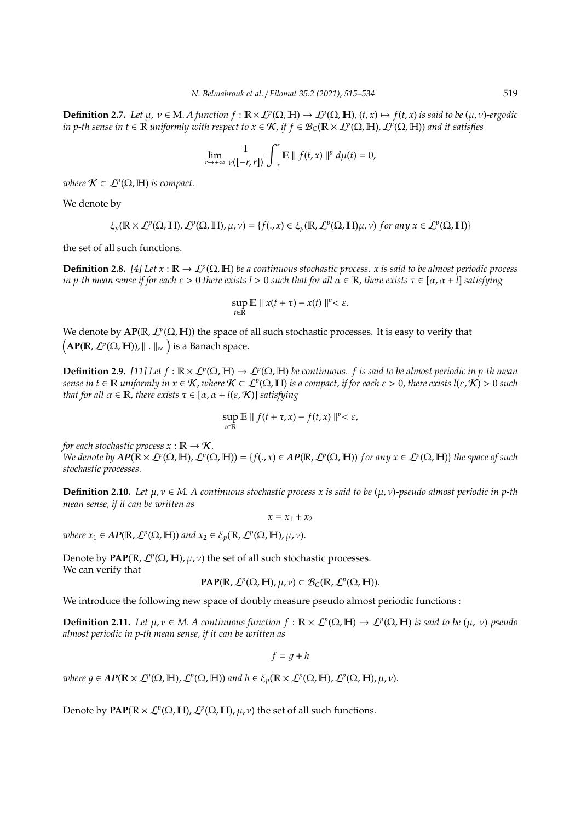**Definition 2.7.** Let  $\mu$ ,  $\nu \in M$ . A function  $f : \mathbb{R} \times \mathcal{L}^p(\Omega, \mathbb{H}) \to \mathcal{L}^p(\Omega, \mathbb{H})$ ,  $(t, x) \mapsto f(t, x)$  is said to be  $(\mu, \nu)$ -ergodic *in p-th sense in t* ∈  $\R$  *uniformly with respect to x* ∈  $\mathcal{K}$ , *if f* ∈  $\mathcal{B}_C(\R\times\mathcal{L}^p(\Omega,\Bbb{H}),\mathcal{L}^p(\Omega,\Bbb{H}))$  and it satisfies

$$
\lim_{r\to+\infty}\frac{1}{\nu([-r,r])}\int_{-r}^r\mathbb{E}\parallel f(t,x)\parallel^p d\mu(t)=0,
$$

*where*  $K \subset L^p(\Omega, \mathbb{H})$  *is compact.* 

We denote by

$$
\xi_p(\mathbb{R}\times\mathcal{L}^p(\Omega,\mathbb{H}),\mathcal{L}^p(\Omega,\mathbb{H}),\mu,\nu)=\{f(.,x)\in\xi_p(\mathbb{R},\mathcal{L}^p(\Omega,\mathbb{H})\mu,\nu)\ for\ any\ x\in\mathcal{L}^p(\Omega,\mathbb{H})\}
$$

the set of all such functions.

**Definition 2.8.** [4] Let  $x : \mathbb{R} \to L^p(\Omega, \mathbb{H})$  be a continuous stochastic process. x is said to be almost periodic process *in p-th mean sense if for each* ε > 0 *there exists l* > 0 *such that for all* α ∈ R, *there exists* τ ∈ [α, α + *l*] *satisfying*

$$
\sup_{t\in\mathbb{R}}\mathbb{E}\parallel x(t+\tau)-x(t)\parallel^{p}<\varepsilon.
$$

We denote by  $AP(\mathbb{R}, \mathcal{L}^p(\Omega, \mathbb{H}))$  the space of all such stochastic processes. It is easy to verify that  $\left(\mathbf{AP}(\mathbb{R},\mathcal{L}^p(\Omega,\mathbb{H})),\|\,.\,\|_{\infty}\,\right)$  is a Banach space.

**Definition 2.9.** [11] Let  $f : \mathbb{R} \times L^p(\Omega, \mathbb{H}) \to L^p(\Omega, \mathbb{H})$  be continuous. f is said to be almost periodic in p-th mean  $s$ ense in  $t\in\mathbb R$  uniformly in  $x\in\mathcal K$ , where  $\mathcal K\subset L^p(\Omega,\mathbb H)$  is a compact, if for each  $\varepsilon>0$ , there exists l( $\varepsilon,\mathcal K)>0$  such *that for all*  $\alpha \in \mathbb{R}$ , *there exists*  $\tau \in [\alpha, \alpha + l(\varepsilon, \mathcal{K})]$  *satisfying* 

$$
\sup_{t\in\mathbb{R}}\mathbb{E}\parallel f(t+\tau,x)-f(t,x)\parallel^{p}<\varepsilon,
$$

*for each stochastic process*  $x : \mathbb{R} \to \mathcal{K}$ .

 $W$ e denote by  $AP(\mathbb{R}\times\mathcal{L}^p(\Omega,\mathbb{H}),\mathcal{L}^p(\Omega,\mathbb{H}))=\{f(.,x)\in AP(\mathbb{R},\mathcal{L}^p(\Omega,\mathbb{H}))\ for\ any\ x\in\mathcal{L}^p(\Omega,\mathbb{H})\}\ the\ space\ of\ such\$ *stochastic processes.*

**Definition 2.10.** *Let*  $\mu, \nu \in M$ . *A continuous stochastic process x is said to be*  $(\mu, \nu)$ -pseudo almost periodic in p-th *mean sense, if it can be written as*

 $x = x_1 + x_2$ 

*where*  $x_1 \in AP(\mathbb{R}, \mathcal{L}^p(\Omega, \mathbb{H}))$  and  $x_2 \in \xi_p(\mathbb{R}, \mathcal{L}^p(\Omega, \mathbb{H}), \mu, \nu)$ .

Denote by  $\text{PAP}(\mathbb{R}, \mathcal{L}^p(\Omega, \mathbb{H}), \mu, \nu)$  the set of all such stochastic processes. We can verify that

**PAP**(
$$
\mathbb{R}, \mathcal{L}^p(\Omega, \mathbb{H}), \mu, \nu
$$
)  $\subset \mathcal{B}_C(\mathbb{R}, \mathcal{L}^p(\Omega, \mathbb{H}))$ .

We introduce the following new space of doubly measure pseudo almost periodic functions :

**Definition 2.11.** Let  $\mu, \nu \in M$ . A continuous function  $f : \mathbb{R} \times L^p(\Omega, \mathbb{H}) \to L^p(\Omega, \mathbb{H})$  is said to be  $(\mu, \nu)$ -pseudo *almost periodic in p-th mean sense, if it can be written as*

 $f = q + h$ 

 $where\ g \in AP(\mathbb{R} \times L^p(\Omega, \mathbb{H}), L^p(\Omega, \mathbb{H}))\ and\ h \in \xi_p(\mathbb{R} \times L^p(\Omega, \mathbb{H}), L^p(\Omega, \mathbb{H}), \mu, \nu).$ 

Denote by  $\text{PAP}(\mathbb{R} \times \mathcal{L}^p(\Omega, \mathbb{H}), \mathcal{L}^p(\Omega, \mathbb{H}), \mu, \nu)$  the set of all such functions.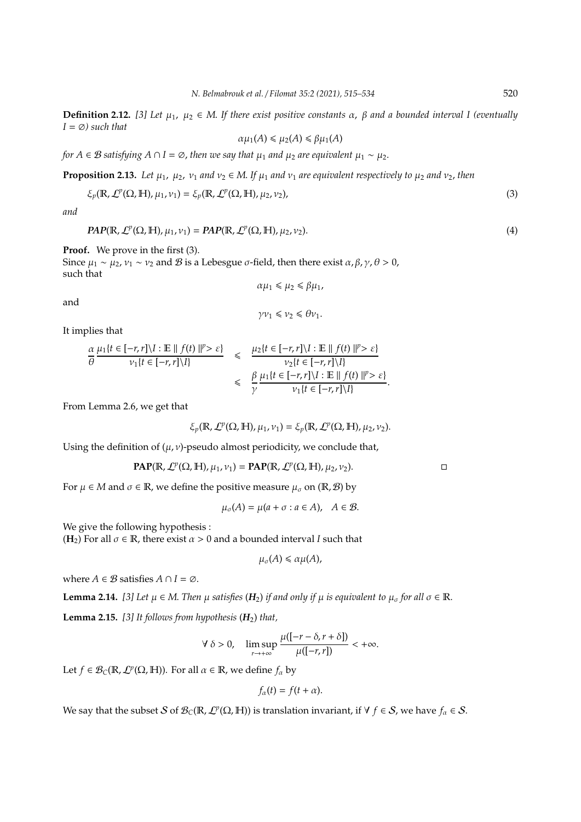**Definition 2.12.** [3] Let  $μ_1$ ,  $μ_2 ∈ M$ . If there exist positive constants  $α$ ,  $β$  and a bounded interval I (eventually  $I = \emptyset$ *)* such that

$$
\alpha \mu_1(A) \leq \mu_2(A) \leq \beta \mu_1(A)
$$

*for*  $A \in \mathcal{B}$  *satisfying*  $A \cap I = \emptyset$ , *then we say that*  $\mu_1$  *and*  $\mu_2$  *are equivalent*  $\mu_1 \sim \mu_2$ .

**Proposition 2.13.** *Let*  $\mu_1$ ,  $\mu_2$ ,  $\nu_1$  *and*  $\nu_2 \in M$ . *If*  $\mu_1$  *and*  $\nu_1$  *are equivalent respectively to*  $\mu_2$  *and*  $\nu_2$ *, then* 

$$
\xi_p(\mathbb{R}, \mathcal{L}^p(\Omega, \mathbb{H}), \mu_1, \nu_1) = \xi_p(\mathbb{R}, \mathcal{L}^p(\Omega, \mathbb{H}), \mu_2, \nu_2),
$$
\n(3)

*and*

$$
PAP(\mathbb{R}, \mathcal{L}^p(\Omega, \mathbb{H}), \mu_1, \nu_1) = PAP(\mathbb{R}, \mathcal{L}^p(\Omega, \mathbb{H}), \mu_2, \nu_2).
$$
\n
$$
\tag{4}
$$

**Proof.** We prove in the first (3).

Since  $μ_1 ~ ∼ μ_2, ν_1 ~ ∼ ν_2$  and *B* is a Lebesgue *σ*-field, then there exist *α*, *β*, *γ*, *θ* > 0, such that

$$
\alpha \mu_1 \leq \mu_2 \leq \beta \mu_1,
$$

and

$$
\gamma v_1 \leq v_2 \leq \theta v_1.
$$

It implies that

$$
\frac{\alpha}{\theta} \frac{\mu_1 \{t \in [-r, r] \setminus I : \mathbb{E} \mid\|f(t)\|^p > \varepsilon\}}{\nu_1 \{t \in [-r, r] \setminus I\}} \leq \frac{\mu_2 \{t \in [-r, r] \setminus I : \mathbb{E} \mid\|f(t)\|^p > \varepsilon\}}{\nu_2 \{t \in [-r, r] \setminus I\}} \leq \frac{\beta}{\gamma} \frac{\mu_1 \{t \in [-r, r] \setminus I : \mathbb{E} \mid\|f(t)\|^p > \varepsilon\}}{\nu_1 \{t \in [-r, r] \setminus I\}}.
$$

From Lemma 2.6, we get that

$$
\xi_p(\mathbb{R},\mathcal{L}^p(\Omega,\mathbb{H}),\mu_1,\nu_1)=\xi_p(\mathbb{R},\mathcal{L}^p(\Omega,\mathbb{H}),\mu_2,\nu_2).
$$

Using the definition of  $(\mu, \nu)$ -pseudo almost periodicity, we conclude that,

$$
\text{PAP}(\mathbb{R}, \mathcal{L}^p(\Omega, \mathbb{H}), \mu_1, \nu_1) = \text{PAP}(\mathbb{R}, \mathcal{L}^p(\Omega, \mathbb{H}), \mu_2, \nu_2).
$$

For  $\mu \in M$  and  $\sigma \in \mathbb{R}$ , we define the positive measure  $\mu_{\sigma}$  on  $(\mathbb{R}, \mathcal{B})$  by

$$
\mu_{\sigma}(A) = \mu(a + \sigma : a \in A), \quad A \in \mathcal{B}.
$$

We give the following hypothesis :

 $(\mathbf{H}_2)$  For all  $\sigma \in \mathbb{R}$ , there exist  $\alpha > 0$  and a bounded interval *I* such that

$$
\mu_\sigma(A)\leq \alpha\mu(A),
$$

where  $A \in \mathcal{B}$  satisfies  $A \cap I = \emptyset$ .

**Lemma 2.14.** *[3] Let*  $\mu \in M$ . *Then*  $\mu$  *satisfies* ( $H_2$ ) *if and only if*  $\mu$  *is equivalent to*  $\mu_{\sigma}$  *for all*  $\sigma \in \mathbb{R}$ . **Lemma 2.15.** *[3] It follows from hypothesis* (*H*2) *that,*

$$
\forall \delta > 0, \quad \limsup_{r \to +\infty} \frac{\mu([-r-\delta,r+\delta])}{\mu([-r,r])} < +\infty.
$$

Let  $f \in \mathcal{B}_C(\mathbb{R}, \mathcal{L}^p(\Omega, \mathbb{H}))$ . For all  $\alpha \in \mathbb{R}$ , we define  $f_\alpha$  by

$$
f_{\alpha}(t)=f(t+\alpha).
$$

We say that the subset S of  $\mathcal{B}_C(\mathbb{R},\mathcal{L}^p(\Omega,\mathbb{H}))$  is translation invariant, if  $\forall f \in S$ , we have  $f_\alpha \in S$ .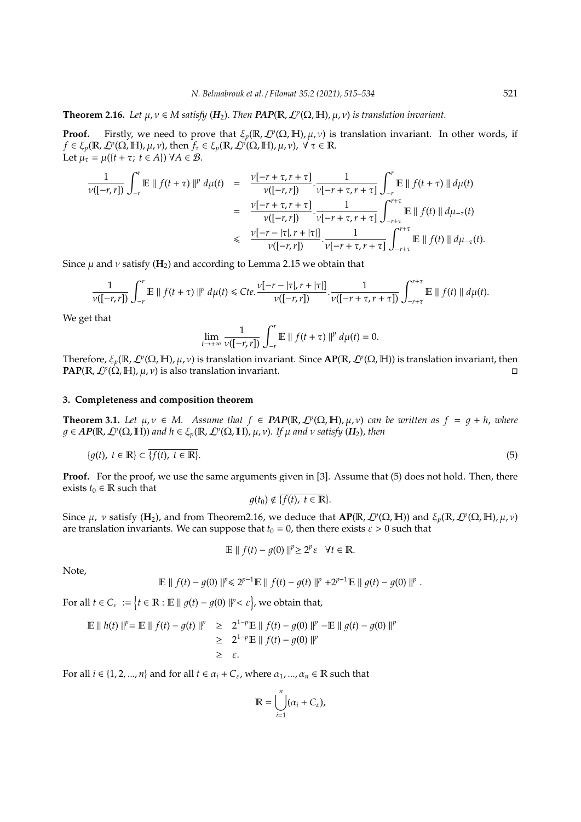# **Theorem 2.16.** *Let*  $\mu, \nu \in M$  *satisfy* ( $H_2$ ). *Then*  $PAP(\mathbb{R}, \mathcal{L}^p(\Omega, \mathbb{H}), \mu, \nu)$  *is translation invariant.*

**Proof.** Firstly, we need to prove that  $\xi_p(\mathbb{R}, \mathcal{L}^p(\Omega, \mathbb{H}), \mu, \nu)$  is translation invariant. In other words, if  $f \in \xi_p(\mathbb{R}, \mathcal{L}^p(\Omega, \mathbb{H}), \mu, \nu)$ , then  $f_\tau \in \xi_p(\mathbb{R}, \mathcal{L}^p(\Omega, \mathbb{H}), \mu, \nu)$ ,  $\forall \tau \in \mathbb{R}$ . Let  $\mu_{\tau} = \mu({t + \tau; t \in A}) \ \forall A \in \mathcal{B}.$ 

$$
\frac{1}{\nu([-r,r])}\int_{-r}^{r}\mathbb{E} \parallel f(t+\tau)\parallel^{p} d\mu(t) = \frac{\nu[-r+\tau,r+\tau]}{\nu([-r,r])}\cdot\frac{1}{\nu[-r+\tau,r+\tau]} \int_{-r}^{r}\mathbb{E} \parallel f(t+\tau)\parallel d\mu(t) \n= \frac{\nu[-r+\tau,r+\tau]}{\nu([-r,r])}\cdot\frac{1}{\nu[-r+\tau,r+\tau]} \int_{-r+\tau}^{r+\tau}\mathbb{E} \parallel f(t)\parallel d\mu_{-\tau}(t) \n\leq \frac{\nu[-r-|\tau|,r+|\tau|]}{\nu([-r,r])}\cdot\frac{1}{\nu[-r+\tau,r+\tau]} \int_{-r+\tau}^{r+\tau}\mathbb{E} \parallel f(t)\parallel d\mu_{-\tau}(t).
$$

Since  $\mu$  and  $\nu$  satisfy ( $\mathbf{H}_2$ ) and according to Lemma 2.15 we obtain that

$$
\frac{1}{\nu([-r,r])}\int_{-r}^r \mathbb{E} \parallel f(t+\tau)\parallel^p d\mu(t) \leq Cte.\frac{\nu[-r-|\tau|,r+|\tau|]}{\nu([-r,r])}\cdot \frac{1}{\nu([-r+\tau,r+\tau])}\int_{-r+\tau}^{r+\tau} \mathbb{E} \parallel f(t)\parallel d\mu(t).
$$

We get that

$$
\lim_{t\to+\infty}\frac{1}{\nu([-r,r])}\int_{-r}^r\mathbb{E}\parallel f(t+\tau)\parallel^p d\mu(t)=0.
$$

Therefore, ξ*p*(R, L*<sup>p</sup>* (Ω, H), µ, ν) is translation invariant. Since **AP**(R, L*<sup>p</sup>* (Ω, H)) is translation invariant, then **PAP**( $\mathbb{R}, \mathcal{L}^p(\Omega, \mathbb{H}), \mu, \nu$ ) is also translation invariant.

### **3. Completeness and composition theorem**

**Theorem 3.1.** Let  $\mu, \nu \in M$ . Assume that  $f \in \text{PAP}(\mathbb{R}, \mathcal{L}^p(\Omega, \mathbb{H}), \mu, \nu)$  can be written as  $f = g + h$ , where  $g \in AP(\mathbb{R}, \mathcal{L}^p(\Omega, \mathbb{H}))$  and  $h \in \xi_p(\mathbb{R}, \mathcal{L}^p(\Omega, \mathbb{H}), \mu, \nu)$ . If  $\mu$  and  $\nu$  satisfy  $(H_2)$ , then

$$
\{g(t),\ t \in \mathbb{R}\} \subset \overline{\{f(t),\ t \in \mathbb{R}\}}.\tag{5}
$$

**Proof.** For the proof, we use the same arguments given in [3]. Assume that (5) does not hold. Then, there exists  $t_0 \in \mathbb{R}$  such that

 $q(t_0) \notin \overline{\{f(t), t \in \mathbb{R}\}}.$ 

Since  $\mu$ ,  $\nu$  satisfy (H<sub>2</sub>), and from Theorem2.16, we deduce that  $AP(\mathbb{R}, \mathcal{L}^p(\Omega, \mathbb{H}))$  and  $\xi_p(\mathbb{R}, \mathcal{L}^p(\Omega, \mathbb{H}), \mu, \nu)$ are translation invariants. We can suppose that  $t_0 = 0$ , then there exists  $\varepsilon > 0$  such that

$$
\mathbb{E} \parallel f(t) - g(0) \parallel^{p} \geq 2^{p} \varepsilon \quad \forall t \in \mathbb{R}.
$$

Note,

$$
\mathbb{E} \parallel f(t) - g(0) \parallel^{p} \leq 2^{p-1} \mathbb{E} \parallel f(t) - g(t) \parallel^{p} + 2^{p-1} \mathbb{E} \parallel g(t) - g(0) \parallel^{p}.
$$

For all  $t \in C_{\varepsilon}$  :=  $\big\{t \in \mathbb{R} : \mathbb{E} \mid \|g(t) - g(0)\|^{p} < \varepsilon\big\}$ , we obtain that,

$$
\mathbb{E} \parallel h(t) \parallel^{p} = \mathbb{E} \parallel f(t) - g(t) \parallel^{p} \geq 2^{1-p} \mathbb{E} \parallel f(t) - g(0) \parallel^{p} - \mathbb{E} \parallel g(t) - g(0) \parallel^{p}
$$
  
\n
$$
\geq 2^{1-p} \mathbb{E} \parallel f(t) - g(0) \parallel^{p}
$$
  
\n
$$
\geq \varepsilon.
$$

For all  $i \in \{1, 2, ..., n\}$  and for all  $t \in \alpha_i + C_{\varepsilon}$ , where  $\alpha_1, ..., \alpha_n \in \mathbb{R}$  such that

$$
\mathbb{R} = \bigcup_{i=1}^n (\alpha_i + C_{\varepsilon}),
$$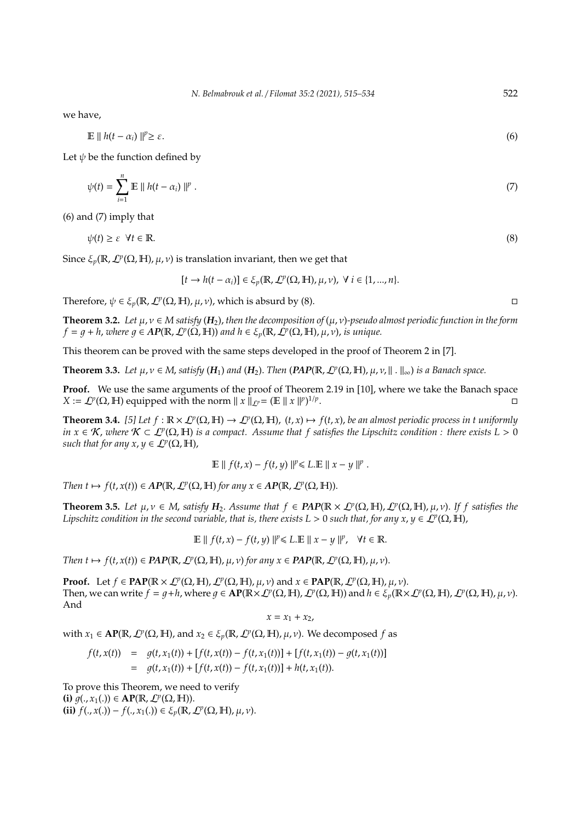we have,

$$
\mathbb{E} \parallel h(t - \alpha_i) \parallel^p \geq \varepsilon. \tag{6}
$$

Let  $\psi$  be the function defined by

$$
\psi(t) = \sum_{i=1}^{n} \mathbb{E} \parallel h(t - \alpha_i) \parallel^{p}.
$$
\n
$$
(7)
$$

(6) and (7) imply that

$$
\psi(t) \ge \varepsilon \quad \forall t \in \mathbb{R}.\tag{8}
$$

Since  $\xi_p$ ( $\mathbb{R}$ ,  $\mathcal{L}^p(\Omega, \mathbb{H})$ ,  $\mu$ ,  $\nu$ ) is translation invariant, then we get that

$$
[t \to h(t-\alpha_i)] \in \xi_p(\mathbb{R}, \mathcal{L}^p(\Omega, \mathbb{H}), \mu, \nu), \ \forall \ i \in \{1, ..., n\}.
$$

Therefore,  $\psi \in \xi_p(\mathbb{R}, \mathcal{L}^p(\Omega, \mathbb{H}), \mu, \nu)$ , which is absurd by (8).

**Theorem 3.2.** Let  $\mu, \nu \in M$  satisfy  $(H_2)$ , then the decomposition of  $(\mu, \nu)$ -pseudo almost periodic function in the form  $f = g + h$ , *where*  $g \in AP(\mathbb{R}, L^p(\Omega, \mathbb{H}))$  *and*  $h \in \xi_p(\mathbb{R}, L^p(\Omega, \mathbb{H}), \mu, \nu)$ , *is unique.* 

This theorem can be proved with the same steps developed in the proof of Theorem 2 in [7].

**Theorem 3.3.** Let  $\mu, \nu \in M$ , satisfy  $(H_1)$  and  $(H_2)$ . Then  $(PAP(\mathbb{R}, \mathcal{L}^p(\Omega, \mathbb{H}), \mu, \nu, \|\cdot\|_{\infty})$  is a Banach space.

**Proof.** We use the same arguments of the proof of Theorem 2.19 in [10], where we take the Banach space *X* :=  $\mathcal{L}^p(\Omega, \mathbb{H})$  equipped with the norm  $||x||_{\mathcal{L}^p} = (\mathbb{E}||x||)^{1/p}$ .

**Theorem 3.4.** [5] Let  $f : \mathbb{R} \times \mathcal{L}^p(\Omega, \mathbb{H}) \to \mathcal{L}^p(\Omega, \mathbb{H})$ ,  $(t, x) \mapsto f(t, x)$ , be an almost periodic process in t uniformly *in x*  $\in$  K, where  $K \subset L^p(\Omega, \mathbb{H})$  *is a compact. Assume that f satisfies the Lipschitz condition : there exists L* > 0 *such that for any x, y*  $\in$   $\mathcal{L}^p(\Omega, \mathbb{H})$ ,

$$
\mathbb{E} \parallel f(t,x) - f(t,y) \parallel^{p} \leq L \mathbb{E} \parallel x - y \parallel^{p}.
$$

*Then*  $t \mapsto f(t, x(t)) \in AP(\mathbb{R}, L^p(\Omega, \mathbb{H}))$  *for any*  $x \in AP(\mathbb{R}, L^p(\Omega, \mathbb{H}))$ .

**Theorem 3.5.** Let  $\mu, \nu \in M$ , satisfy  $H_2$ . Assume that  $f \in PAP(\mathbb{R} \times \mathcal{L}^p(\Omega, \mathbb{H}), \mathcal{L}^p(\Omega, \mathbb{H}), \mu, \nu)$ . If f satisfies the *Lipschitz condition in the second variable, that is, there exists L > 0 such that, for any*  $x, y \in L^p(\Omega, \mathbb{H})$ *,* 

$$
\mathbb{E} \parallel f(t, x) - f(t, y) \parallel^{p} \le L \mathbb{E} \parallel x - y \parallel^{p}, \quad \forall t \in \mathbb{R}.
$$

*Then*  $t \mapsto f(t, x(t)) \in \text{PAP}(\mathbb{R}, L^p(\Omega, \mathbb{H}), \mu, \nu)$  *for any*  $x \in \text{PAP}(\mathbb{R}, L^p(\Omega, \mathbb{H}), \mu, \nu)$ .

**Proof.** Let  $f \in \text{PAP}(\mathbb{R} \times \mathcal{L}^p(\Omega, \mathbb{H}), \mathcal{L}^p(\Omega, \mathbb{H}), \mu, \nu)$  and  $x \in \text{PAP}(\mathbb{R}, \mathcal{L}^p(\Omega, \mathbb{H}), \mu, \nu)$ . Then, we can write  $f = g + h$ , where  $g \in \mathbf{AP}(\mathbb{R} \times \mathcal{L}^p(\Omega, \mathbb{H}), \mathcal{L}^p(\Omega, \mathbb{H}))$  and  $h \in \xi_p(\mathbb{R} \times \mathcal{L}^p(\Omega, \mathbb{H}), \mathcal{L}^p(\Omega, \mathbb{H}), \mu, \nu)$ . And

 $x = x_1 + x_2$ 

with  $x_1 \in \text{AP}(\mathbb{R}, \mathcal{L}^p(\Omega, \mathbb{H}), \text{ and } x_2 \in \xi_p(\mathbb{R}, \mathcal{L}^p(\Omega, \mathbb{H}), \mu, \nu)$ . We decomposed *f* as

$$
f(t, x(t)) = g(t, x_1(t)) + [f(t, x(t)) - f(t, x_1(t))] + [f(t, x_1(t)) - g(t, x_1(t))]
$$
  
=  $g(t, x_1(t)) + [f(t, x(t)) - f(t, x_1(t))] + h(t, x_1(t)).$ 

To prove this Theorem, we need to verify **(i)**  $g(., x_1(.)) \in \mathbf{AP}(\mathbb{R}, \mathcal{L}^p(\Omega, \mathbb{H})).$ **(ii)**  $f(., x(.)) - f(., x_1(.)) \in \xi_p(\mathbb{R}, \mathcal{L}^p(\Omega, \mathbb{H}), \mu, \nu).$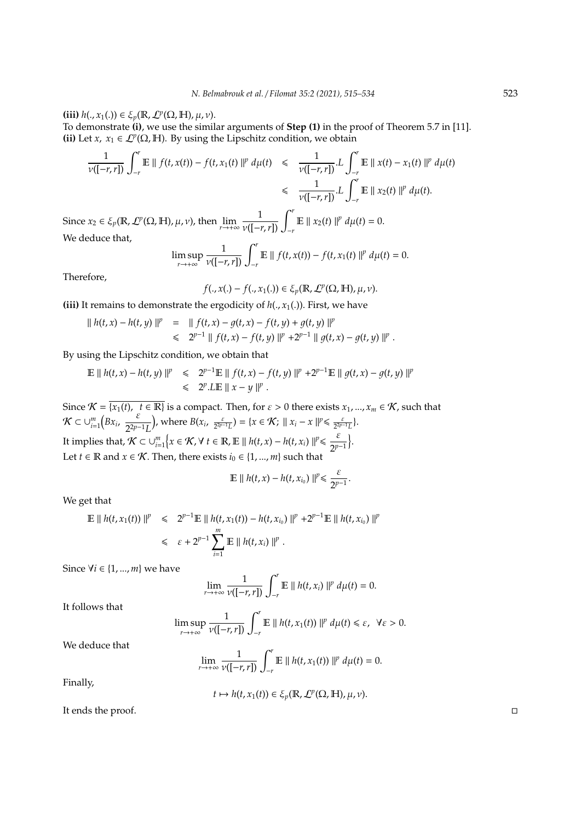**(iii)**  $h(., x_1(.)) \in \xi_p(\mathbb{R}, \mathcal{L}^p(\Omega, \mathbb{H}), \mu, \nu).$ 

To demonstrate **(i)**, we use the similar arguments of **Step (1)** in the proof of Theorem 5.7 in [11]. **(ii)** Let *x*,  $x_1 \in \mathcal{L}^p(\Omega, \mathbb{H})$ . By using the Lipschitz condition, we obtain

$$
\frac{1}{\nu([-r,r])}\int_{-r}^{r}\mathbb{E}\|f(t,x(t)) - f(t,x_1(t)\|^p\,d\mu(t) \leq \frac{1}{\nu([-r,r])}L\int_{-r}^{r}\mathbb{E}\|x(t) - x_1(t)\|^p\,d\mu(t) \leq \frac{1}{\nu([-r,r])}L\int_{-r}^{r}\mathbb{E}\|x_2(t)\|^p\,d\mu(t).
$$

Since  $x_2 \in \xi_p(\mathbb{R}, \mathcal{L}^p(\Omega, \mathbb{H}), \mu, \nu)$ , then  $\lim_{r \to +\infty} \frac{1}{\nu([-r, r])} \int_{-r}^r \mathbb{E} ||x_2(t)||^p d\mu(t) = 0$ . We deduce that,

$$
\limsup_{r \to +\infty} \frac{1}{\nu([-r,r])} \int_{-r}^{r} \mathbb{E} \, \| \, f(t,x(t)) - f(t,x_1(t) \, \|^{p} \, d\mu(t) = 0.
$$

Therefore,

$$
f(.,x(.) - f(.,x_1(.)) \in \xi_p(\mathbb{R}, \mathcal{L}^p(\Omega, \mathbb{H}), \mu, \nu).
$$

**(iii)** It remains to demonstrate the ergodicity of  $h(., x_1(.))$ . First, we have

$$
|| h(t,x) - h(t,y) ||^p = || f(t,x) - g(t,x) - f(t,y) + g(t,y) ||^p
$$
  
\$\leq\$  $2^{p-1} || f(t,x) - f(t,y) ||^p + 2^{p-1} || g(t,x) - g(t,y) ||^p$ .

By using the Lipschitz condition, we obtain that

$$
\mathbb{E} \parallel h(t,x) - h(t,y) \parallel^{p} \leq 2^{p-1} \mathbb{E} \parallel f(t,x) - f(t,y) \parallel^{p} + 2^{p-1} \mathbb{E} \parallel g(t,x) - g(t,y) \parallel^{p}
$$
  

$$
\leq 2^{p} \cdot L \mathbb{E} \parallel x - y \parallel^{p}.
$$

Since  $\mathcal{K} = \overline{\{x_1(t), t \in \mathbb{R}\}}$  is a compact. Then, for  $\varepsilon > 0$  there exists  $x_1, ..., x_m \in \mathcal{K}$ , such that  $\mathcal{K} \subset \cup_{i=1}^m \left( Bx_i, \frac{\varepsilon}{2^{2p-1}} \right)$ 2 <sup>2</sup>*p*−1*L* ), where  $B(x_i, \frac{\varepsilon}{2^{2p-1}L}) = \{x \in \mathcal{K}; ||x_i - x||^p \leq \frac{\varepsilon}{2^{2p-1}L}\}.$ It implies that,  $K \subset \bigcup_{i=1}^m \left\{x \in \mathcal{K}, \forall t \in \mathbb{R}, \mathbb{E} \parallel h(t,x) - h(t,x_i) \right\} \mid t \leq \frac{\varepsilon}{2t}$  $\frac{\varepsilon}{2^{p-1}}$ . Let *t* ∈ **R** and *x* ∈ *K*. Then, there exists  $i_0$  ∈ {1, ..., *m*} such that

$$
\mathbb{E}\parallel h(t,x)-h(t,x_{i_0})\parallel^p\leq \frac{\varepsilon}{2^{p-1}}.
$$

We get that

$$
\mathbb{E} \parallel h(t, x_1(t)) \parallel^p \leq 2^{p-1} \mathbb{E} \parallel h(t, x_1(t)) - h(t, x_{i_0}) \parallel^p + 2^{p-1} \mathbb{E} \parallel h(t, x_{i_0}) \parallel^p
$$
  

$$
\leq \epsilon + 2^{p-1} \sum_{i=1}^m \mathbb{E} \parallel h(t, x_i) \parallel^p.
$$

Since ∀*i* ∈ {1, ..., *m*} we have

$$
\lim_{r\to+\infty}\frac{1}{\nu([-r,r])}\int_{-r}^r\mathbb{E}\parallel h(t,x_i)\parallel^p d\mu(t)=0.
$$

It follows that

$$
\limsup_{r\to+\infty}\frac{1}{\nu([-r,r])}\int_{-r}^r\mathbb{E}\,\|h(t,x_1(t))\|^p\,d\mu(t)\leq\varepsilon,\ \forall\varepsilon>0.
$$

We deduce that

$$
\lim_{r\to+\infty}\frac{1}{\nu([-r,r])}\int_{-r}^r\mathbb{E}\,\|\,h(t,x_1(t))\,\|^p\,d\mu(t)=0.
$$

Finally,

$$
t \mapsto h(t, x_1(t)) \in \xi_p(\mathbb{R}, \mathcal{L}^p(\Omega, \mathbb{H}), \mu, \nu).
$$

It ends the proof.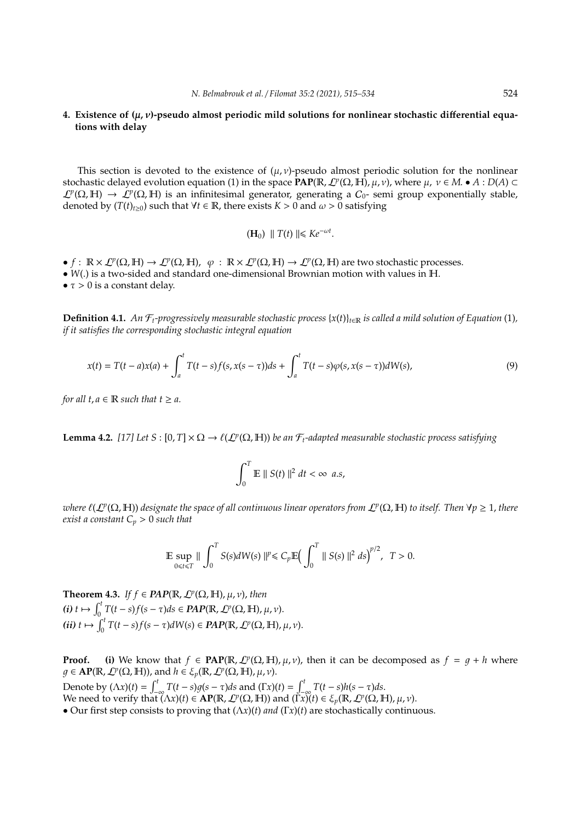### **4. Existence of (**µ, ν**)-pseudo almost periodic mild solutions for nonlinear stochastic di**ff**erential equations with delay**

This section is devoted to the existence of  $(\mu, \nu)$ -pseudo almost periodic solution for the nonlinear stochastic delayed evolution equation (1) in the space **PAP**(R, L*<sup>p</sup>* (Ω, H), µ, ν), where µ, ν ∈ *M*. • *A* : *D*(*A*) ⊂  $\mathcal{L}^p(\Omega, \mathbb{H}) \to \mathcal{L}^p(\Omega, \mathbb{H})$  is an infinitesimal generator, generating a  $C_0$ - semi group exponentially stable, denoted by  $(T(t)_{t\geq0})$  such that  $\forall t \in \mathbb{R}$ , there exists  $K > 0$  and  $\omega > 0$  satisfying

$$
(\mathbf{H}_0) \parallel T(t) \parallel \leq K e^{-\omega t}.
$$

 $\bullet$   $f: \mathbb{R} \times \mathcal{L}^p(\Omega, \mathbb{H}) \to \mathcal{L}^p(\Omega, \mathbb{H}), \varphi: \mathbb{R} \times \mathcal{L}^p(\Omega, \mathbb{H}) \to \mathcal{L}^p(\Omega, \mathbb{H})$  are two stochastic processes.

• *W*(.) is a two-sided and standard one-dimensional Brownian motion with values in H.

•  $\tau > 0$  is a constant delay.

**Definition 4.1.** *An*  $\mathcal{F}_t$ -progressively measurable stochastic process  $\{x(t)\}_{t\in\mathbb{R}}$  is called a mild solution of Equation (1), *if it satisfies the corresponding stochastic integral equation*

$$
x(t) = T(t-a)x(a) + \int_{a}^{t} T(t-s)f(s, x(s-\tau))ds + \int_{a}^{t} T(t-s)\varphi(s, x(s-\tau))dW(s),
$$
\n(9)

*for all t, a*  $\in$  **R** *such that t*  $\ge$  *a*.

**Lemma 4.2.** [17] Let  $S : [0, T] \times \Omega \to \ell(\mathcal{L}^p(\Omega, \mathbb{H}))$  be an  $\mathcal{F}_t$ -adapted measurable stochastic process satisfying

$$
\int_0^T \mathbb{E} \parallel S(t) \parallel^2 dt < \infty \ \ a.s.
$$

 $a$  *deta* (L<sup>p</sup>(Ω, H)) designate the space of all continuous linear operators from L<sup>p</sup>(Ω, H) to itself. Then ∀p ≥ 1, there *exist a constant C<sup>p</sup>* > 0 *such that*

$$
\mathbb{E}\sup_{0\leq t\leq T}\|\int_0^T S(s)dW(s)\|^p\leq C_p\mathbb{E}\Big(\int_0^T\|S(s)\|^2\ ds\Big)^{p/2},\ \ T>0.
$$

**Theorem 4.3.** *If*  $f \in \text{PAP}(\mathbb{R}, \mathcal{L}^p(\Omega, \mathbb{H}), \mu, \nu)$ , then  $f(t)$   $t \mapsto \int_0^t T(t-s)f(s-\tau)ds \in \mathbb{P}AP(\mathbb{R}, \mathcal{L}^p(\Omega, \mathbb{H}), \mu, \nu).$  $f(i\mathbf{i}) \mathbf{t} \mapsto \int_0^t T(t-s)f(s-\tau)dW(s) \in \mathbf{PAP}(\mathbb{R}, \mathcal{L}^p(\Omega, \mathbb{H}), \mu, \nu).$ 

**Proof.** (i) We know that  $f \in \text{PAP}(\mathbb{R}, \mathcal{L}^p(\Omega, \mathbb{H}), \mu, \nu)$ , then it can be decomposed as  $f = g + h$  where  $g \in \mathbf{AP}(\mathbb{R}, \mathcal{L}^p(\Omega, \mathbb{H}))$ , and  $h \in \mathcal{E}_p(\mathbb{R}, \mathcal{L}^p(\Omega, \mathbb{H}), \mu, \nu)$ .

Denote by (Λ*x*)(*t*) =  $\int_{-\infty}^{t} T(t-s)g(s-\tau)ds$  and (Γ*x*)(*t*) =  $\int_{-\infty}^{t} T(t-s)h(s-\tau)ds$ . We need to verify that  $(\Lambda x)(t) \in \mathbf{AP}(\mathbb{R}, \mathcal{L}^p(\Omega, \mathbb{H}))$  and  $(\overline{\Gamma} x)(t) \in \xi_p(\mathbb{R}, \mathcal{L}^p(\Omega, \mathbb{H}), \mu, \nu)$ . • Our first step consists to proving that (Λ*x*)(*t*) *and* (Γ*x*)(*t*) are stochastically continuous.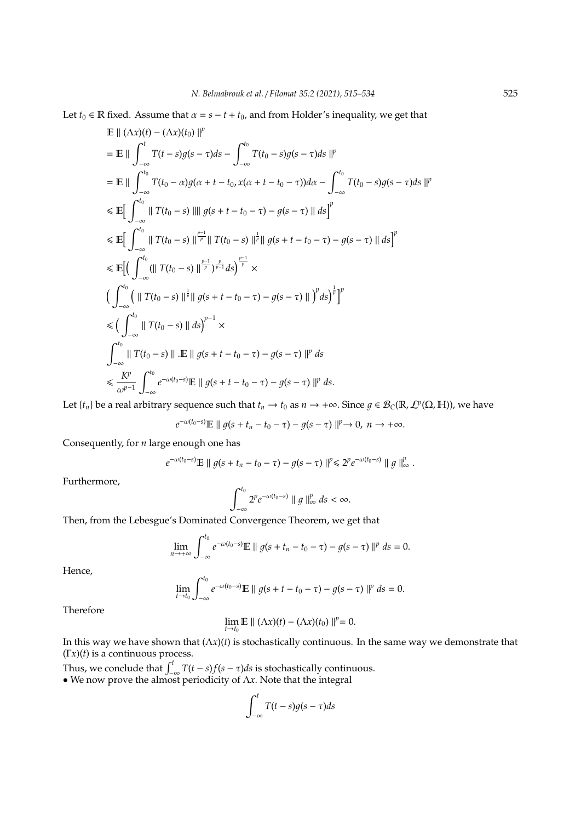Let  $t_0 \in \mathbb{R}$  fixed. Assume that  $\alpha = s - t + t_0$ , and from Holder's inequality, we get that

$$
\mathbb{E} || (\Lambda x)(t) - (\Lambda x)(t_0) ||^p
$$
\n
$$
= \mathbb{E} || \int_{-\infty}^t T(t-s)g(s-\tau)ds - \int_{-\infty}^{t_0} T(t_0-s)g(s-\tau)ds ||^p
$$
\n
$$
= \mathbb{E} || \int_{-\infty}^{t_0} T(t_0-\alpha)g(\alpha+t-t_0,x(\alpha+t-t_0-\tau))d\alpha - \int_{-\infty}^{t_0} T(t_0-s)g(s-\tau)ds ||^p
$$
\n
$$
\leq \mathbb{E} [\int_{-\infty}^{t_0} || T(t_0-s) || || g(s+t-t_0-\tau) - g(s-\tau) || ds ]^p
$$
\n
$$
\leq \mathbb{E} [\int_{-\infty}^{t_0} || T(t_0-s) ||^{\frac{p-1}{p}} || T(t_0-s) ||^{\frac{1}{p}} || g(s+t-t_0-\tau) - g(s-\tau) || ds ]^p
$$
\n
$$
\leq \mathbb{E} [ (\int_{-\infty}^{t_0} (|| T(t_0-s) ||^{\frac{p-1}{p}})^{\frac{p}{p-1}} ds )^{\frac{p-1}{p}} \times
$$
\n
$$
(\int_{-\infty}^{t_0} (|| T(t_0-s) ||^{\frac{1}{p}} || g(s+t-t_0-\tau) - g(s-\tau) || )^p ds )^{\frac{1}{p}} ]^p
$$
\n
$$
\leq (\int_{-\infty}^{t_0} || T(t_0-s) || ds )^{p-1} \times
$$
\n
$$
\int_{-\infty}^{t_0} || T(t_0-s) || .\mathbb{E} || g(s+t-t_0-\tau) - g(s-\tau) ||^p ds
$$
\n
$$
\leq \frac{K^p}{\omega^{p-1}} \int_{-\infty}^{t_0} e^{-\omega(t_0-s)} \mathbb{E} || g(s+t-t_0-\tau) - g(s-\tau) ||^p ds.
$$

Let  $\{t_n\}$  be a real arbitrary sequence such that  $t_n \to t_0$  as  $n \to +\infty$ . Since  $g \in \mathcal{B}_C(\mathbb{R},\mathcal{L}^p(\Omega,\mathbb{H}))$ , we have

$$
e^{-\omega(t_0-s)}\mathbb{E}\parallel g(s+t_n-t_0-\tau)-g(s-\tau)\parallel^p\to 0,\; n\to+\infty.
$$

Consequently, for *n* large enough one has

$$
e^{-\omega(t_0-s)}\mathbb{E} \parallel g(s+t_n-t_0-\tau) - g(s-\tau) \parallel^p \leq 2^p e^{-\omega(t_0-s)} \parallel g \parallel_\infty^p
$$

Furthermore,

$$
\int_{-\infty}^{t_0} 2^p e^{-\omega(t_0-s)} \parallel g \parallel_{\infty}^p ds < \infty.
$$

Then, from the Lebesgue's Dominated Convergence Theorem, we get that

$$
\lim_{n \to +\infty} \int_{-\infty}^{t_0} e^{-\omega(t_0 - s)} \mathbb{E} \, \| \, g(s + t_n - t_0 - \tau) - g(s - \tau) \, \|^{p} \, ds = 0.
$$

Hence,

$$
\lim_{t\to t_0}\int_{-\infty}^{t_0}e^{-\omega(t_0-s)}\mathbb{E}\parallel g(s+t-t_0-\tau)-g(s-\tau)\parallel^p ds=0.
$$

Therefore

$$
\lim_{t\to t_0}\mathbb{E}\parallel(\Lambda x)(t)-(\Lambda x)(t_0)\parallel^p=0.
$$

In this way we have shown that (Λ*x*)(*t*) is stochastically continuous. In the same way we demonstrate that (Γ*x*)(*t*) is a continuous process.

Thus, we conclude that  $\int_{-\infty}^{t} T(t-s)f(s-\tau)ds$  is stochastically continuous. • We now prove the almost periodicity of  $\Lambda x$ . Note that the integral

$$
\int_{-\infty}^{t} T(t-s)g(s-\tau)ds
$$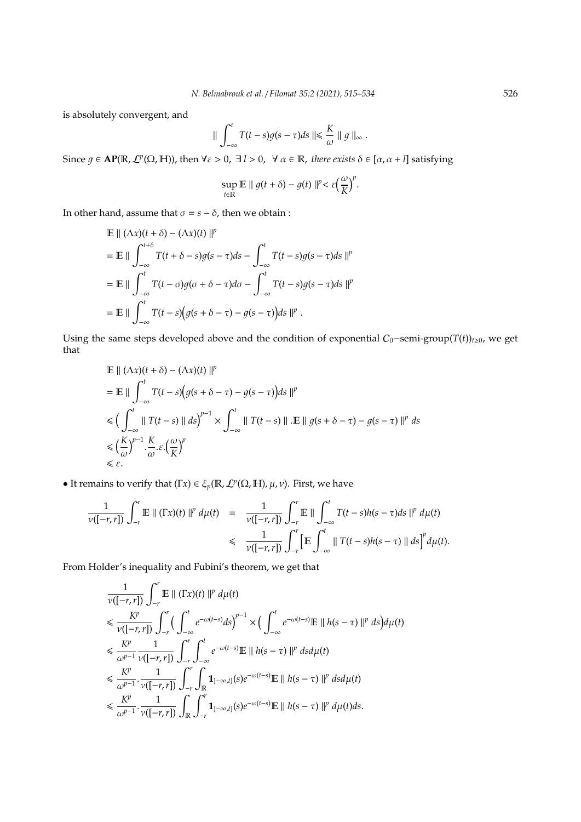is absolutely convergent, and

$$
\|\int_{-\infty}^t T(t-s)g(s-\tau)ds\|\leq \frac{K}{\omega}\|\,g\,\|_{\infty}\,.
$$

Since  $g \in \mathbf{AP}(\mathbb{R}, \mathcal{L}^p(\Omega, \mathbb{H}))$ , then  $\forall \varepsilon > 0$ ,  $\exists l > 0$ ,  $\forall \alpha \in \mathbb{R}$ , there exists  $\delta \in [\alpha, \alpha + l]$  satisfying

$$
\sup_{t\in\mathbb{R}}\mathbb{E}\,\|\,g(t+\delta)-g(t)\,\|^{p}<\varepsilon\Big(\frac{\omega}{K}\Big)^{p}.
$$

In other hand, assume that  $\sigma = s - \delta$ , then we obtain :

$$
\mathbb{E} || (\Lambda x)(t + \delta) - (\Lambda x)(t) ||^p
$$
\n
$$
= \mathbb{E} || \int_{-\infty}^{t+\delta} T(t + \delta - s)g(s - \tau)ds - \int_{-\infty}^t T(t - s)g(s - \tau)ds ||^p
$$
\n
$$
= \mathbb{E} || \int_{-\infty}^t T(t - \sigma)g(\sigma + \delta - \tau)d\sigma - \int_{-\infty}^t T(t - s)g(s - \tau)ds ||^p
$$
\n
$$
= \mathbb{E} || \int_{-\infty}^t T(t - s) \Big( g(s + \delta - \tau) - g(s - \tau) \Big) ds ||^p.
$$

Using the same steps developed above and the condition of exponential  $C_0$ −semi-group(*T*(*t*))<sub>*t*≥0</sub>, we get that

$$
\mathbb{E} \parallel (\Lambda x)(t + \delta) - (\Lambda x)(t) \parallel^{p}
$$
\n
$$
= \mathbb{E} \parallel \int_{-\infty}^{t} T(t - s) \Big( g(s + \delta - \tau) - g(s - \tau) \Big) ds \parallel^{p}
$$
\n
$$
\leq \Big( \int_{-\infty}^{t} \parallel T(t - s) \parallel ds \Big)^{p-1} \times \int_{-\infty}^{t} \parallel T(t - s) \parallel \cdot \mathbb{E} \parallel g(s + \delta - \tau) - g(s - \tau) \parallel^{p} ds
$$
\n
$$
\leq \Big( \frac{K}{\omega} \Big)^{p-1} \cdot \frac{K}{\omega} . \varepsilon \cdot \Big( \frac{\omega}{K} \Big)^{p}
$$
\n
$$
\leq \varepsilon.
$$

• It remains to verify that  $(Tx) \in \xi_p(\mathbb{R}, \mathcal{L}^p(\Omega, \mathbb{H}), \mu, \nu)$ . First, we have

$$
\frac{1}{\nu([-r,r])}\int_{-r}^{r}\mathbb{E}\|(\Gamma x)(t)\|^p\,d\mu(t) = \frac{1}{\nu([-r,r])}\int_{-r}^{r}\mathbb{E}\| \int_{-\infty}^{t}T(t-s)h(s-\tau)ds\|^p\,d\mu(t) \leq \frac{1}{\nu([-r,r])}\int_{-r}^{r}\left[\mathbb{E}\int_{-\infty}^{t}\|T(t-s)h(s-\tau)\|ds\right]^p d\mu(t).
$$

From Holder's inequality and Fubini's theorem, we get that

$$
\frac{1}{\nu([-r,r])} \int_{-r}^{r} \mathbb{E} \|(Tx)(t)\|^p d\mu(t) \n\leq \frac{K^p}{\nu([-r,r])} \int_{-r}^{r} \Big( \int_{-\infty}^{t} e^{-\omega(t-s)} ds \Big)^{p-1} \times \Big( \int_{-\infty}^{t} e^{-\omega(t-s)} \mathbb{E} \|(h(s-\tau)\|^p ds) d\mu(t) \n\leq \frac{K^p}{\omega^{p-1}} \frac{1}{\nu([-r,r])} \int_{-r}^{r} \int_{-\infty}^{t} e^{-\omega(t-s)} \mathbb{E} \|(h(s-\tau)\|^p ds d\mu(t) \n\leq \frac{K^p}{\omega^{p-1}} \cdot \frac{1}{\nu([-r,r])} \int_{-r}^{r} \int_{\mathbb{R}} \mathbf{1}_{]-\infty,t}(s) e^{-\omega(t-s)} \mathbb{E} \|(h(s-\tau)\|^p ds d\mu(t) \n\leq \frac{K^p}{\omega^{p-1}} \cdot \frac{1}{\nu([-r,r])} \int_{\mathbb{R}} \int_{-r}^{r} \mathbf{1}_{]-\infty,t}(s) e^{-\omega(t-s)} \mathbb{E} \|(h(s-\tau)\|^p d\mu(t) ds.
$$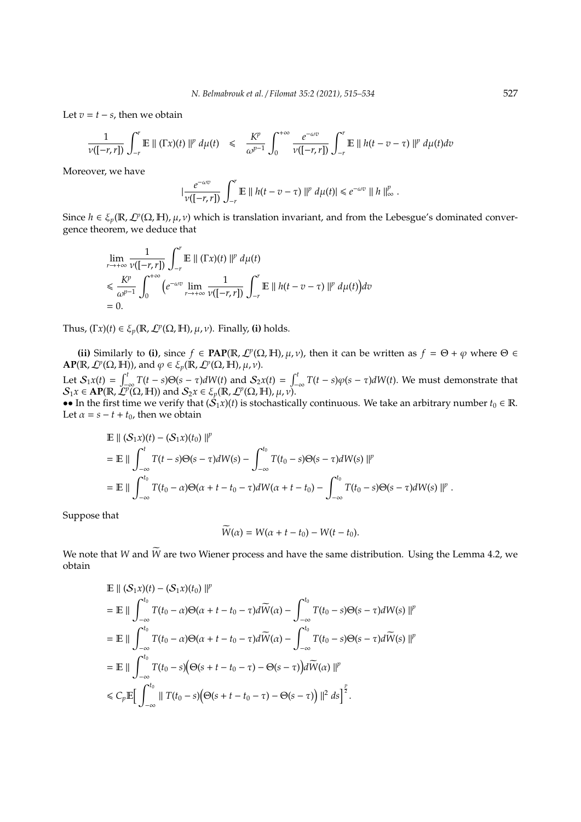Let  $v = t - s$ , then we obtain

$$
\frac{1}{\nu([-r,r])}\int_{-r}^r\mathbb{E}\left\|\left(\Gamma x\right)(t)\right\|^p\,d\mu(t)\quad\leq\quad \frac{K^p}{\omega^{p-1}}\int_0^{+\infty}\frac{e^{-\omega v}}{\nu([-r,r])}\int_{-r}^r\mathbb{E}\left\|h(t-v-\tau)\right\|^p\,d\mu(t)dv
$$

Moreover, we have

$$
\left|\frac{e^{-\omega v}}{\nu([-r,r])}\int_{-r}^r\mathbb{E}\right|\left|h(t-v-\tau)\right|\left|^p d\mu(t)\right|\leq e^{-\omega v}\left\|\left|h\right|\right\|_{\infty}^p.
$$

Since  $h \in \xi_p(\mathbb{R}, \mathcal{L}^p(\Omega, \mathbb{H}), \mu, \nu)$  which is translation invariant, and from the Lebesgue's dominated convergence theorem, we deduce that

$$
\lim_{r \to +\infty} \frac{1}{\nu([-r,r])} \int_{-r}^{r} \mathbb{E} \parallel (\Gamma x)(t) \parallel^{p} d\mu(t)
$$
\n
$$
\leq \frac{K^{p}}{\omega^{p-1}} \int_{0}^{+\infty} \left( e^{-\omega v} \lim_{r \to +\infty} \frac{1}{\nu([-r,r])} \int_{-r}^{r} \mathbb{E} \parallel h(t-v-\tau) \parallel^{p} d\mu(t) \right) dv
$$
\n= 0.

Thus,  $(Tx)(t) \in \xi_p(\mathbb{R}, \mathcal{L}^p(\Omega, \mathbb{H}), \mu, \nu)$ . Finally, (i) holds.

**(ii)** Similarly to **(i)**, since  $f \in \text{PAP}(\mathbb{R}, \mathcal{L}^p(\Omega, \mathbb{H}), \mu, \nu)$ , then it can be written as  $f = \Theta + \varphi$  where  $\Theta \in$  $\textbf{AP}(\mathbb{R}, \mathcal{L}^p(\Omega, \mathbb{H}))$ , and  $\varphi \in \xi_p(\mathbb{R}, \mathcal{L}^p(\Omega, \mathbb{H}), \mu, \nu)$ . Let  $S_1x(t) = \int_{-\infty}^t T(t-s)\Theta(s-\tau)dW(t)$  and  $S_2x(t) = \int_{-\infty}^t T(t-s)\varphi(s-\tau)dW(t)$ . We must demonstrate that  $\mathcal{S}_1x \in \mathbf{AP}(\mathbb{R}, \tilde{\mathcal{L}}^p(\Omega, \mathbb{H}))$  and  $\mathcal{S}_2x \in \xi_p(\mathbb{R}, \mathcal{L}^p(\Omega, \mathbb{H}), \mu, \nu)$ .

•• In the first time we verify that  $(S_1x)(t)$  is stochastically continuous. We take an arbitrary number  $t_0 \in \mathbb{R}$ . Let  $\alpha = s - t + t_0$ , then we obtain

$$
\mathbb{E} || (S_1 x)(t) - (S_1 x)(t_0) ||^p
$$
\n
$$
= \mathbb{E} || \int_{-\infty}^t T(t - s) \Theta(s - \tau) dW(s) - \int_{-\infty}^{t_0} T(t_0 - s) \Theta(s - \tau) dW(s) ||^p
$$
\n
$$
= \mathbb{E} || \int_{-\infty}^{t_0} T(t_0 - \alpha) \Theta(\alpha + t - t_0 - \tau) dW(\alpha + t - t_0) - \int_{-\infty}^{t_0} T(t_0 - s) \Theta(s - \tau) dW(s) ||^p
$$

Suppose that

$$
\widetilde{W}(\alpha) = W(\alpha + t - t_0) - W(t - t_0).
$$

We note that *W* and  $\widetilde{W}$  are two Wiener process and have the same distribution. Using the Lemma 4.2, we obtain

$$
\mathbb{E} \parallel (S_1 x)(t) - (S_1 x)(t_0) \parallel^p
$$
\n
$$
= \mathbb{E} \parallel \int_{-\infty}^{t_0} T(t_0 - \alpha) \Theta(\alpha + t - t_0 - \tau) d\widetilde{W}(\alpha) - \int_{-\infty}^{t_0} T(t_0 - s) \Theta(s - \tau) dW(s) \parallel^p
$$
\n
$$
= \mathbb{E} \parallel \int_{-\infty}^{t_0} T(t_0 - \alpha) \Theta(\alpha + t - t_0 - \tau) d\widetilde{W}(\alpha) - \int_{-\infty}^{t_0} T(t_0 - s) \Theta(s - \tau) d\widetilde{W}(s) \parallel^p
$$
\n
$$
= \mathbb{E} \parallel \int_{-\infty}^{t_0} T(t_0 - s) (\Theta(s + t - t_0 - \tau) - \Theta(s - \tau)) d\widetilde{W}(\alpha) \parallel^p
$$
\n
$$
\leq C_p \mathbb{E} \Big[ \int_{-\infty}^{t_0} \parallel T(t_0 - s) (\Theta(s + t - t_0 - \tau) - \Theta(s - \tau)) \parallel^2 ds \Big]^{\frac{p}{2}}.
$$

.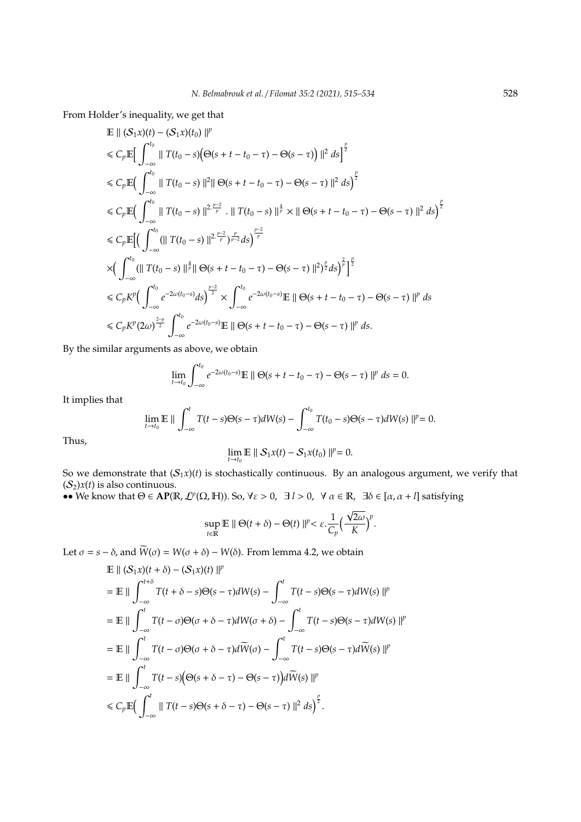From Holder's inequality, we get that

$$
\mathbb{E} || (S_1 x)(t) - (S_1 x)(t_0) ||^p
$$
\n
$$
\leq C_p \mathbb{E} \Big[ \int_{-\infty}^{t_0} || T(t_0 - s) (\Theta(s + t - t_0 - \tau) - \Theta(s - \tau) ) ||^2 ds \Big]^{\frac{p}{2}}
$$
\n
$$
\leq C_p \mathbb{E} \Big( \int_{-\infty}^{t_0} || T(t_0 - s) ||^2 || \Theta(s + t - t_0 - \tau) - \Theta(s - \tau) ||^2 ds \Big)^{\frac{p}{2}}
$$
\n
$$
\leq C_p \mathbb{E} \Big( \int_{-\infty}^{t_0} || T(t_0 - s) ||^{2 \cdot \frac{p-2}{p}} \cdot || T(t_0 - s) ||^{\frac{4}{p}} \times || \Theta(s + t - t_0 - \tau) - \Theta(s - \tau) ||^2 ds \Big)^{\frac{p}{2}}
$$
\n
$$
\leq C_p \mathbb{E} \Big[ \Big( \int_{-\infty}^{t_0} (|| T(t_0 - s) ||^{2 \cdot \frac{p-2}{p}}) \frac{p}{p-2} ds \Big)^{\frac{p-2}{p}}
$$
\n
$$
\times \Big( \int_{-\infty}^{t_0} (|| T(t_0 - s) ||^{\frac{4}{p}} || \Theta(s + t - t_0 - \tau) - \Theta(s - \tau) ||^2)^{\frac{p}{2}} ds \Big)^{\frac{p}{p}} \Big]^{\frac{p}{2}}
$$
\n
$$
\leq C_p K^p \Big( \int_{-\infty}^{t_0} e^{-2\omega(t_0 - s)} ds \Big)^{\frac{p-2}{2}} \times \int_{-\infty}^{t_0} e^{-2\omega(t_0 - s)} \mathbb{E} || \Theta(s + t - t_0 - \tau) - \Theta(s - \tau) ||^p ds
$$
\n
$$
\leq C_p K^p (2\omega)^{\frac{2-p}{2}} \int_{-\infty}^{t_0} e^{-2\omega(t_0 - s)} \mathbb{E} || \Theta(s + t - t_0 - \tau) - \Theta(s - \tau) ||^p ds.
$$

By the similar arguments as above, we obtain

$$
\lim_{t\to t_0}\int_{-\infty}^{t_0}e^{-2\omega(t_0-s)}\mathbb{E}\,\|\,\Theta(s+t-t_0-\tau)-\Theta(s-\tau)\,\|^p\,ds=0.
$$

It implies that

$$
\lim_{t\to t_0}\mathbb{E}\parallel\int_{-\infty}^tT(t-s)\Theta(s-\tau)dW(s)-\int_{-\infty}^{t_0}T(t_0-s)\Theta(s-\tau)dW(s)\parallel^p=0.
$$

Thus,

$$
\lim_{t\to t_0}\mathbb{E}\|S_1x(t)-S_1x(t_0)\|^p=0.
$$

So we demonstrate that  $(S_1x)(t)$  is stochastically continuous. By an analogous argument, we verify that  $(S_2)x(t)$  is also continuous.

•• We know that  $\Theta \in \mathbf{AP}(\mathbb{R}, \mathcal{L}^p(\Omega, \mathbb{H}))$ . So,  $\forall \varepsilon > 0$ ,  $\exists l > 0$ ,  $\forall \alpha \in \mathbb{R}$ ,  $\exists \delta \in [\alpha, \alpha + l]$  satisfying

$$
\sup_{t\in\mathbb{R}}\mathbb{E}\parallel \Theta(t+\delta)-\Theta(t)\parallel^{p}<\varepsilon.\frac{1}{C_{p}}\Big(\frac{\sqrt{2\omega}}{K}\Big)^{p}.
$$

Let  $\sigma = s - \delta$ , and  $\widetilde{W}(\sigma) = W(\sigma + \delta) - W(\delta)$ . From lemma 4.2, we obtain

$$
\mathbb{E} \|\left(\mathcal{S}_1 x\right)(t+\delta) - \left(\mathcal{S}_1 x\right)(t)\|^p
$$
\n
$$
= \mathbb{E} \|\int_{-\infty}^{t+\delta} T(t+\delta-s)\Theta(s-\tau)dW(s) - \int_{-\infty}^t T(t-s)\Theta(s-\tau)dW(s)\|^p
$$
\n
$$
= \mathbb{E} \|\int_{-\infty}^t T(t-\sigma)\Theta(\sigma+\delta-\tau)dW(\sigma+\delta) - \int_{-\infty}^t T(t-s)\Theta(s-\tau)dW(s)\|^p
$$
\n
$$
= \mathbb{E} \|\int_{-\infty}^t T(t-\sigma)\Theta(\sigma+\delta-\tau)d\widetilde{W}(\sigma) - \int_{-\infty}^t T(t-s)\Theta(s-\tau)d\widetilde{W}(s)\|^p
$$
\n
$$
= \mathbb{E} \|\int_{-\infty}^t T(t-s)\Big(\Theta(s+\delta-\tau) - \Theta(s-\tau)\Big)d\widetilde{W}(s)\|^p
$$
\n
$$
\leq C_p \mathbb{E} \Big(\int_{-\infty}^t \|T(t-s)\Theta(s+\delta-\tau) - \Theta(s-\tau)\|^2 ds\Big)^{\frac{p}{2}}.
$$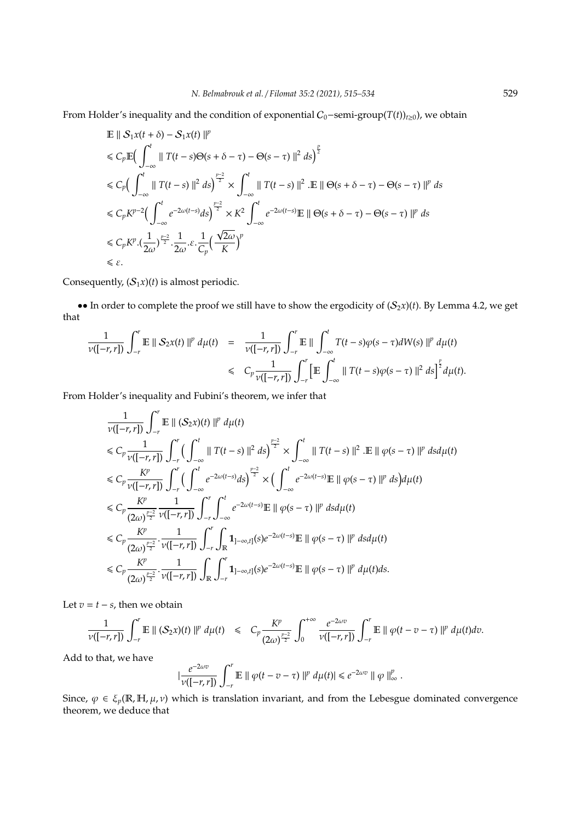From Holder's inequality and the condition of exponential  $C_0$ −semi-group(*T*(*t*))<sub>*t*≥0</sub>), we obtain

$$
\begin{split}\n&\mathbb{E} \parallel \mathcal{S}_1 x(t+\delta) - \mathcal{S}_1 x(t) \parallel^p \\
&\leq C_p \mathbb{E} \Big( \int_{-\infty}^t \parallel T(t-s)\Theta(s+\delta-\tau) - \Theta(s-\tau) \parallel^2 ds \Big)^{\frac{p}{2}} \\
&\leq C_p \Big( \int_{-\infty}^t \parallel T(t-s) \parallel^2 ds \Big)^{\frac{p-2}{2}} \times \int_{-\infty}^t \parallel T(t-s) \parallel^2 .\n\mathbb{E} \parallel \Theta(s+\delta-\tau) - \Theta(s-\tau) \parallel^p ds \\
&\leq C_p K^{p-2} \Big( \int_{-\infty}^t e^{-2\omega(t-s)} ds \Big)^{\frac{p-2}{2}} \times K^2 \int_{-\infty}^t e^{-2\omega(t-s)} \mathbb{E} \parallel \Theta(s+\delta-\tau) - \Theta(s-\tau) \parallel^p ds \\
&\leq C_p K^p . \Big( \frac{1}{2\omega} \Big)^{\frac{p-2}{2}} . \frac{1}{2\omega} . \varepsilon . \frac{1}{C_p} \Big( \frac{\sqrt{2\omega}}{K} \Big)^p \\
&\leq \varepsilon.\n\end{split}
$$

Consequently,  $(S_1x)(t)$  is almost periodic.

•• In order to complete the proof we still have to show the ergodicity of  $(S_2x)(t)$ . By Lemma 4.2, we get that

$$
\frac{1}{\nu([-r,r])}\int_{-r}^{r}\mathbb{E}\parallel S_{2}x(t)\parallel^{p}d\mu(t) = \frac{1}{\nu([-r,r])}\int_{-r}^{r}\mathbb{E}\parallel \int_{-\infty}^{t}T(t-s)\varphi(s-\tau)dW(s)\parallel^{p}d\mu(t) \n\leq C_{p}\frac{1}{\nu([-r,r])}\int_{-r}^{r}\left[\mathbb{E}\int_{-\infty}^{t}\parallel T(t-s)\varphi(s-\tau)\parallel^{2}ds\right]^{\frac{p}{2}}d\mu(t).
$$

From Holder's inequality and Fubini's theorem, we infer that

$$
\frac{1}{\nu([-r,r])} \int_{-r}^{r} \mathbb{E} \|(S_2 x)(t)\|^p d\mu(t) \n\leq C_p \frac{1}{\nu([-r,r])} \int_{-r}^{r} \left( \int_{-\infty}^{t} \|T(t-s)\|^2 ds \right)^{\frac{p-2}{2}} \times \int_{-\infty}^{t} \|T(t-s)\|^2 \cdot \mathbb{E} \|( \varphi(s-\tau) \|^p ds d\mu(t) \n\leq C_p \frac{K^p}{\nu([-r,r])} \int_{-r}^{r} \left( \int_{-\infty}^{t} e^{-2\omega(t-s)} ds \right)^{\frac{p-2}{2}} \times \left( \int_{-\infty}^{t} e^{-2\omega(t-s)} \mathbb{E} \|( \varphi(s-\tau) \|^p ds \right) d\mu(t) \n\leq C_p \frac{K^p}{(2\omega)^{\frac{p-2}{2}}} \frac{1}{\nu([-r,r])} \int_{-r}^{r} \int_{-\infty}^{t} e^{-2\omega(t-s)} \mathbb{E} \|( \varphi(s-\tau) \|^p ds d\mu(t) \n\leq C_p \frac{K^p}{(2\omega)^{\frac{p-2}{2}}} \cdot \frac{1}{\nu([-r,r])} \int_{-r}^{r} \int_{\mathbb{R}} \mathbf{1}_{]-\infty,t} (s) e^{-2\omega(t-s)} \mathbb{E} \|( \varphi(s-\tau) \|^p ds d\mu(t) \n\leq C_p \frac{K^p}{(2\omega)^{\frac{p-2}{2}}} \cdot \frac{1}{\nu([-r,r])} \int_{\mathbb{R}} \int_{-r}^{r} \mathbf{1}_{]-\infty,t} (s) e^{-2\omega(t-s)} \mathbb{E} \|( \varphi(s-\tau) \|^p d\mu(t) ds.
$$

Let  $v = t - s$ , then we obtain

$$
\frac{1}{\nu([-r,r])}\int_{-r}^r \mathbb{E} \|(S_2x)(t)\|^p\,d\mu(t) \leq C_p\frac{K^p}{(2\omega)^{\frac{p-2}{2}}}\int_0^{+\infty}\frac{e^{-2\omega v}}{\nu([-r,r])}\int_{-r}^r \mathbb{E} \|\varphi(t-v-\tau)\|^p\,d\mu(t)dv.
$$

Add to that, we have

$$
|\frac{e^{-2\omega v}}{\nu([-r,r])}\int_{-r}^r\mathbb{E}\parallel\varphi(t-v-\tau)\parallel^p d\mu(t)|\leq e^{-2\omega v}\parallel\varphi\parallel_\infty^p.
$$

Since,  $\varphi \in \xi_p(\mathbb{R}, \mathbb{H}, \mu, \nu)$  which is translation invariant, and from the Lebesgue dominated convergence theorem, we deduce that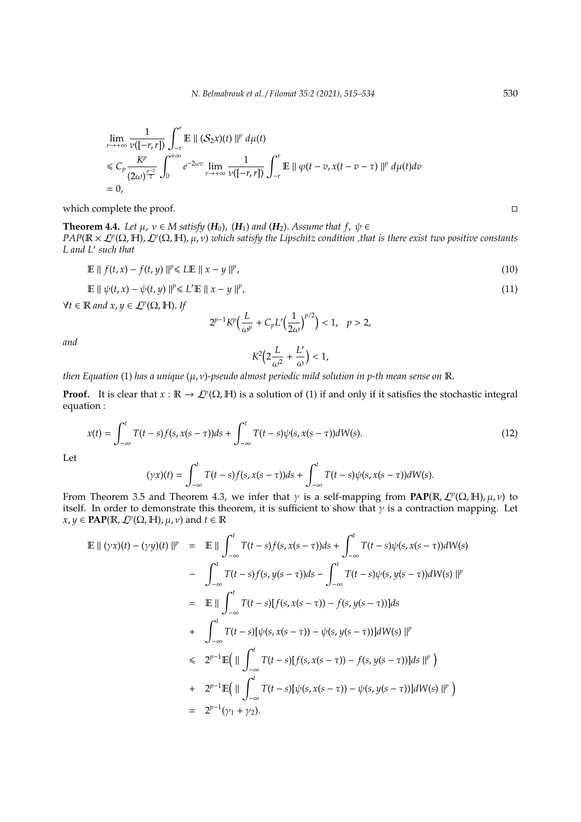$$
\lim_{r \to +\infty} \frac{1}{\nu([-r,r])} \int_{-r}^{r} \mathbb{E} \parallel (S_2 x)(t) \parallel^p d\mu(t)
$$
\n
$$
\leq C_p \frac{K^p}{(2\omega)^{\frac{p-2}{2}}} \int_0^{+\infty} e^{-2\omega v} \lim_{r \to +\infty} \frac{1}{\nu([-r,r])} \int_{-r}^{r} \mathbb{E} \parallel \varphi(t-v, x(t-v-\tau)) \parallel^p d\mu(t)dv
$$
\n= 0,

which complete the proof.

**Theorem 4.4.** *Let*  $\mu$ ,  $\nu \in M$  *satisfy* ( $H_0$ ), ( $H_1$ ) *and* ( $H_2$ ). *Assume that*  $f$ ,  $\psi \in$ *PAP*( $\mathbb{R} \times L^p(\Omega, \mathbb{H})$ ,  $L^p(\Omega, \mathbb{H})$ ,  $\mu$ ,  $\nu$ ) *which satisfy the Lipschitz condition* ,that is there exist two positive constants *L and L*<sup>0</sup> *such that*

$$
\mathbb{E} \parallel f(t, x) - f(t, y) \parallel^{p} \leq L \mathbb{E} \parallel x - y \parallel^{p}, \tag{10}
$$

$$
\mathbb{E} \parallel \psi(t, x) - \psi(t, y) \parallel^{p} \le L' \mathbb{E} \parallel x - y \parallel^{p}, \tag{11}
$$

 $\forall t \in \mathbb{R}$  and  $x, y \in \mathcal{L}^p(\Omega, \mathbb{H})$ . If

$$
2^{p-1}K^p\Big(\frac{L}{\omega^p}+C_pL'\Big(\frac{1}{2\omega}\Big)^{p/2}\Big)<1,\quad p>2,
$$

*and*

$$
K^2\Big(2\frac{L}{\omega^2}+\frac{L'}{\omega}\Big)<1,
$$

*then Equation* (1) *has a unique* (µ, ν)*-pseudo almost periodic mild solution in p-th mean sense on* R.

**Proof.** It is clear that  $x : \mathbb{R} \to \mathcal{L}^p(\Omega, \mathbb{H})$  is a solution of (1) if and only if it satisfies the stochastic integral equation :

$$
x(t) = \int_{-\infty}^{t} T(t-s)f(s, x(s-\tau))ds + \int_{-\infty}^{t} T(t-s)\psi(s, x(s-\tau))dW(s).
$$
\n(12)

Let

$$
(\gamma x)(t) = \int_{-\infty}^t T(t-s)f(s,x(s-\tau))ds + \int_{-\infty}^t T(t-s)\psi(s,x(s-\tau))dW(s).
$$

From Theorem 3.5 and Theorem 4.3, we infer that  $\gamma$  is a self-mapping from PAP( $\mathbb{R}, L^p(\Omega, \mathbb{H}), \mu, \nu$ ) to itself. In order to demonstrate this theorem, it is sufficient to show that  $\gamma$  is a contraction mapping. Let  $x, y \in \text{PAP}(\mathbb{R}, \mathcal{L}^p(\Omega, \mathbb{H}), \mu, \nu)$  and  $t \in \mathbb{R}$ 

$$
\mathbb{E} || (\gamma x)(t) - (\gamma y)(t) ||^{p} = \mathbb{E} || \int_{-\infty}^{t} T(t-s) f(s, x(s-\tau)) ds + \int_{-\infty}^{t} T(t-s) \psi(s, x(s-\tau)) dW(s)
$$
\n
$$
- \int_{-\infty}^{t} T(t-s) f(s, y(s-\tau)) ds - \int_{-\infty}^{t} T(t-s) \psi(s, y(s-\tau)) dW(s) ||^{p}
$$
\n
$$
= \mathbb{E} || \int_{-\infty}^{t} T(t-s) [f(s, x(s-\tau)) - f(s, y(s-\tau))] ds
$$
\n
$$
+ \int_{-\infty}^{t} T(t-s) [\psi(s, x(s-\tau)) - \psi(s, y(s-\tau))] dW(s) ||^{p}
$$
\n
$$
\leq 2^{p-1} \mathbb{E} (|| \int_{-\infty}^{t} T(t-s) [f(s, x(s-\tau)) - f(s, y(s-\tau))] ds ||^{p})
$$
\n
$$
+ 2^{p-1} \mathbb{E} (|| \int_{-\infty}^{t} T(t-s) [\psi(s, x(s-\tau)) - \psi(s, y(s-\tau))] dW(s) ||^{p})
$$
\n
$$
= 2^{p-1} (\gamma_{1} + \gamma_{2}).
$$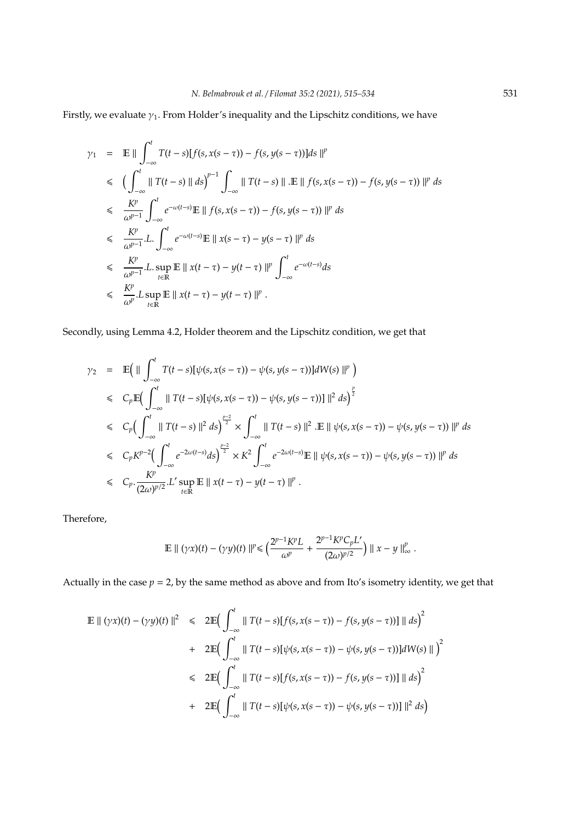Firstly, we evaluate  $\gamma_1$ . From Holder's inequality and the Lipschitz conditions, we have

$$
\gamma_{1} = \mathbb{E} \|\int_{-\infty}^{t} T(t-s)[f(s, x(s-\tau)) - f(s, y(s-\tau))]ds\|^{p}
$$
\n
$$
\leq \left(\int_{-\infty}^{t} \|T(t-s)\| ds\right)^{p-1} \int_{-\infty} \|T(t-s)\| \cdot \mathbb{E} \|f(s, x(s-\tau)) - f(s, y(s-\tau))\|^{p} ds
$$
\n
$$
\leq \frac{K^{p}}{\omega^{p-1}} \int_{-\infty}^{t} e^{-\omega(t-s)} \mathbb{E} \|f(s, x(s-\tau)) - f(s, y(s-\tau))\|^{p} ds
$$
\n
$$
\leq \frac{K^{p}}{\omega^{p-1}} \cdot L \cdot \int_{-\infty}^{t} e^{-\omega(t-s)} \mathbb{E} \|x(s-\tau) - y(s-\tau)\|^{p} ds
$$
\n
$$
\leq \frac{K^{p}}{\omega^{p-1}} \cdot L \cdot \sup_{t \in \mathbb{R}} \mathbb{E} \|x(t-\tau) - y(t-\tau)\|^{p} \int_{-\infty}^{t} e^{-\omega(t-s)} ds
$$
\n
$$
\leq \frac{K^{p}}{\omega^{p}} \cdot L \sup_{t \in \mathbb{R}} \mathbb{E} \|x(t-\tau) - y(t-\tau)\|^{p} .
$$

Secondly, using Lemma 4.2, Holder theorem and the Lipschitz condition, we get that

$$
\gamma_2 = \mathbb{E} \Big( \|\int_{-\infty}^t T(t-s)[\psi(s, x(s-\tau)) - \psi(s, y(s-\tau))]dW(s) \|^p \Big)
$$
  
\n
$$
\leq C_p \mathbb{E} \Big( \int_{-\infty}^t \|T(t-s)[\psi(s, x(s-\tau)) - \psi(s, y(s-\tau))] \|^2 ds \Big)^{\frac{p}{2}}
$$
  
\n
$$
\leq C_p \Big( \int_{-\infty}^t \|T(t-s)\|^2 ds \Big)^{\frac{p-2}{2}} \times \int_{-\infty}^t \|T(t-s)\|^2 d\tau \Big) \mathbb{E} \|\psi(s, x(s-\tau)) - \psi(s, y(s-\tau)) \|^p ds
$$
  
\n
$$
\leq C_p K^{p-2} \Big( \int_{-\infty}^t e^{-2\omega(t-s)} ds \Big)^{\frac{p-2}{2}} \times K^2 \int_{-\infty}^t e^{-2\omega(t-s)} \mathbb{E} \|\psi(s, x(s-\tau)) - \psi(s, y(s-\tau)) \|^p ds
$$
  
\n
$$
\leq C_p \cdot \frac{K^p}{(2\omega)^{p/2}} L' \sup_{t \in \mathbb{R}} \mathbb{E} \|x(t-\tau) - y(t-\tau) \|^p .
$$

Therefore,

$$
\mathbb{E} \parallel (\gamma x)(t) - (\gamma y)(t) \parallel^{p} \leq \Big( \frac{2^{p-1} K^{p} L}{\omega^{p}} + \frac{2^{p-1} K^{p} C_{p} L'}{(2\omega)^{p/2}} \Big) \parallel x - y \parallel_{\infty}^{p}.
$$

Actually in the case  $p = 2$ , by the same method as above and from Ito's isometry identity, we get that

$$
\mathbb{E} || (\gamma x)(t) - (\gamma y)(t) ||^2 \leq 2 \mathbb{E} \Big( \int_{-\infty}^t || T(t - s) [f(s, x(s - \tau)) - f(s, y(s - \tau))] || ds \Big)^2
$$
  
+ 2 \mathbb{E} \Big( \int\_{-\infty}^t || T(t - s) [\psi(s, x(s - \tau)) - \psi(s, y(s - \tau))] dW(s) || \Big)^2  

$$
\leq 2 \mathbb{E} \Big( \int_{-\infty}^t || T(t - s) [f(s, x(s - \tau)) - f(s, y(s - \tau))] || ds \Big)^2
$$
  
+ 2 \mathbb{E} \Big( \int\_{-\infty}^t || T(t - s) [\psi(s, x(s - \tau)) - \psi(s, y(s - \tau))] ||^2 ds \Big)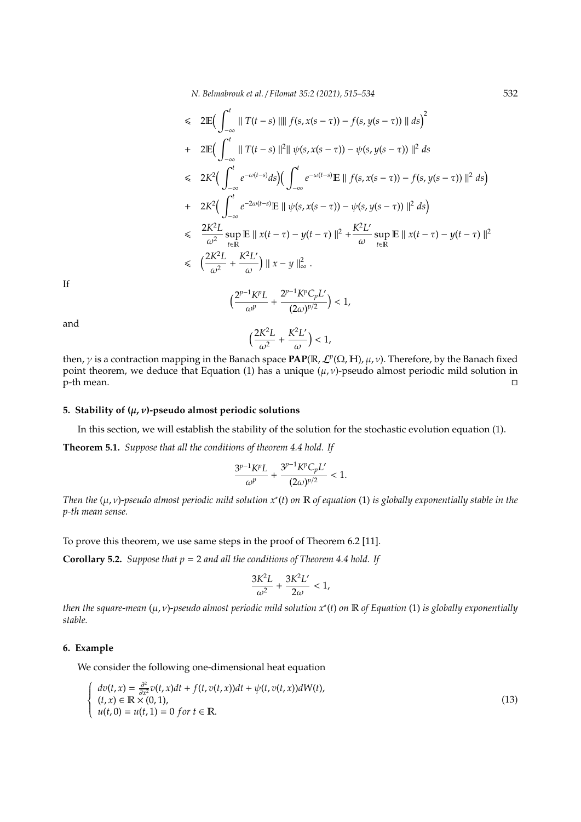$$
\leq 2 \mathbb{E} \Big( \int_{-\infty}^{t} \| T(t-s) \| \| f(s, x(s-\tau)) - f(s, y(s-\tau)) \| ds \Big)^{2}
$$
  
+ 
$$
2 \mathbb{E} \Big( \int_{-\infty}^{t} \| T(t-s) \|^{2} \| \psi(s, x(s-\tau)) - \psi(s, y(s-\tau)) \|^{2} ds
$$
  

$$
\leq 2K^{2} \Big( \int_{-\infty}^{t} e^{-\omega(t-s)} ds \Big) \Big( \int_{-\infty}^{t} e^{-\omega(t-s)} \mathbb{E} \| f(s, x(s-\tau)) - f(s, y(s-\tau)) \|^{2} ds \Big)
$$
  
+ 
$$
2K^{2} \Big( \int_{-\infty}^{t} e^{-2\omega(t-s)} \mathbb{E} \| \psi(s, x(s-\tau)) - \psi(s, y(s-\tau)) \|^{2} ds \Big)
$$
  

$$
\leq \frac{2K^{2}L}{\omega^{2}} \sup_{t \in \mathbb{R}} \mathbb{E} \| x(t-\tau) - y(t-\tau) \|^{2} + \frac{K^{2}L'}{\omega} \sup_{t \in \mathbb{R}} \mathbb{E} \| x(t-\tau) - y(t-\tau) \|^{2}
$$
  

$$
\leq \Big( \frac{2K^{2}L}{\omega^{2}} + \frac{K^{2}L'}{\omega} \Big) \| x - y \|_{\infty}^{2} .
$$

If

$$
\Big(\frac{2^{p-1}K^pL}{\omega^p}+\frac{2^{p-1}K^pC_pL'}{(2\omega)^{p/2}}\Big)<1,
$$

and

$$
\Big(\frac{2K^2L}{\omega^2}+\frac{K^2L'}{\omega}\Big)<1,
$$

then, *γ* is a contraction mapping in the Banach space **PAP**( $\mathbb{R}$ ,  $\mathcal{L}^p(\Omega, \mathbb{H})$ ,  $\mu$ , *ν*). Therefore, by the Banach fixed point theorem, we deduce that Equation (1) has a unique  $(\mu, \nu)$ -pseudo almost periodic mild solution in <u>n</u><br>p-th mean.

### **5. Stability of (**µ, ν**)-pseudo almost periodic solutions**

In this section, we will establish the stability of the solution for the stochastic evolution equation (1).

**Theorem 5.1.** *Suppose that all the conditions of theorem 4.4 hold. If*

$$
\frac{3^{p-1}K^pL}{\omega^p} + \frac{3^{p-1}K^pC_pL'}{(2\omega)^{p/2}} < 1.
$$

*Then the* (µ, ν)*-pseudo almost periodic mild solution x*<sup>∗</sup> (*t*) *on* R *of equation* (1) *is globally exponentially stable in the p-th mean sense.*

To prove this theorem, we use same steps in the proof of Theorem 6.2 [11].

**Corollary 5.2.** *Suppose that p* = 2 *and all the conditions of Theorem 4.4 hold. If*

$$
\frac{3K^2L}{\omega^2}+\frac{3K^2L^{\prime}}{2\omega}<1,
$$

*then the square-mean* (µ, ν)*-pseudo almost periodic mild solution x*<sup>∗</sup> (*t*) *on* R *of Equation* (1) *is globally exponentially stable.*

# **6. Example**

 $\sqrt{ }$  $\left\{ \right.$  $\overline{\mathcal{L}}$ 

We consider the following one-dimensional heat equation

$$
dv(t, x) = \frac{\partial^2}{\partial x^2} v(t, x)dt + f(t, v(t, x))dt + \psi(t, v(t, x))dW(t),
$$
  
\n
$$
(t, x) \in \mathbb{R} \times (0, 1),
$$
  
\n
$$
u(t, 0) = u(t, 1) = 0 \text{ for } t \in \mathbb{R}.
$$
\n(13)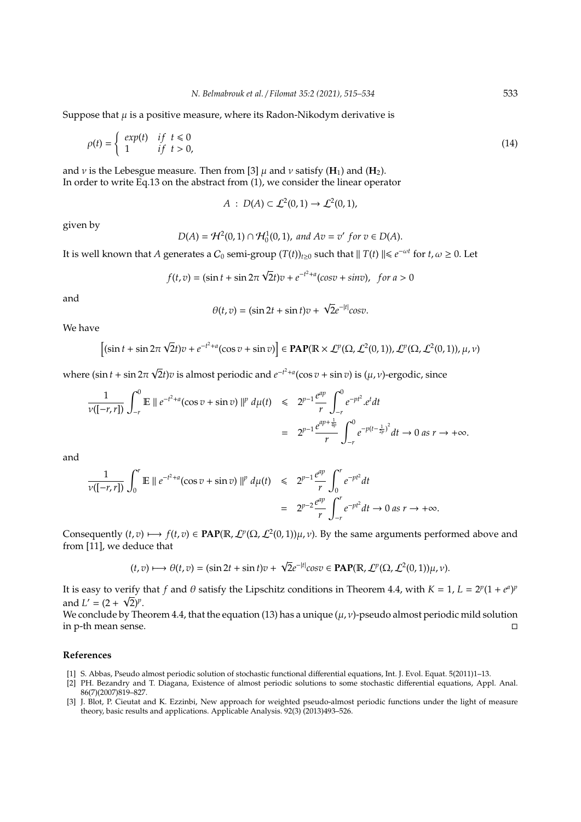Suppose that  $\mu$  is a positive measure, where its Radon-Nikodym derivative is

$$
\rho(t) = \begin{cases} exp(t) & \text{if } t \le 0 \\ 1 & \text{if } t > 0, \end{cases}
$$
\n(14)

and  $\nu$  is the Lebesgue measure. Then from [3]  $\mu$  and  $\nu$  satisfy (**H**<sub>1</sub>) and (**H**<sub>2</sub>). In order to write Eq.13 on the abstract from (1), we consider the linear operator

$$
A: D(A) \subset \mathcal{L}^2(0,1) \to \mathcal{L}^2(0,1),
$$

given by

$$
D(A) = \mathcal{H}^2(0,1) \cap \mathcal{H}_0^1(0,1), \text{ and } Av = v' \text{ for } v \in D(A).
$$

It is well known that *A* generates a  $C_0$  semi-group  $(T(t))_{t\geq0}$  such that  $||T(t)|| \leq e^{-\omega t}$  for  $t, \omega \geq 0$ . Let

$$
f(t, v) = (\sin t + \sin 2\pi \sqrt{2}t)v + e^{-t^2 + a}(\cos v + \sin v), \text{ for } a > 0
$$

and

$$
\theta(t,v) = (\sin 2t + \sin t)v + \sqrt{2}e^{-|t|}\cos v.
$$

We have

$$
\left[ (\sin t + \sin 2\pi \sqrt{2}t)v + e^{-t^2 + a}(\cos v + \sin v) \right] \in \text{PAP}(\mathbb{R} \times \mathcal{L}^p(\Omega, \mathcal{L}^2(0, 1)), \mathcal{L}^p(\Omega, \mathcal{L}^2(0, 1)), \mu, \nu)
$$

where  $(\sin t + \sin 2\pi$  $\overline{2}$ *t*)*v* is almost periodic and  $e^{-t^2+a}(\cos v + \sin v)$  is  $(\mu, \nu)$ -ergodic, since

$$
\frac{1}{\nu([-r,r])} \int_{-r}^{0} \mathbb{E} \parallel e^{-t^2 + a} (\cos v + \sin v) \parallel^p d\mu(t) \leq 2^{p-1} \frac{e^{ap}}{r} \int_{-r}^{0} e^{-pt^2} \cdot e^t dt
$$
  
= 
$$
2^{p-1} \frac{e^{ap + \frac{1}{4p}}}{r} \int_{-r}^{0} e^{-p(t - \frac{1}{2p})^2} dt \to 0 \text{ as } r \to +\infty.
$$

and

$$
\frac{1}{v([-r,r])} \int_0^r \mathbb{E} \parallel e^{-t^2 + a} (\cos v + \sin v) \parallel^p d\mu(t) \leq 2^{p-1} \frac{e^{ap}}{r} \int_0^r e^{-pt^2} dt
$$
  
=  $2^{p-2} \frac{e^{ap}}{r} \int_{-r}^r e^{-pt^2} dt \to 0 \text{ as } r \to +\infty.$ 

Consequently  $(t, v) \mapsto f(t, v) \in \text{PAP}(\mathbb{R}, L^p(\Omega, L^2(0, 1))\mu, \nu)$ . By the same arguments performed above and from [11], we deduce that

$$
(t,v)\longmapsto \theta(t,v)=(\sin 2t+\sin t)v+\sqrt{2}e^{-|t|}\cos v\in \mathbf{PAP}(\mathbb{R},\mathcal{L}^p(\Omega,\mathcal{L}^2(0,1))\mu,\nu).
$$

It is easy to verify that *f* and  $\theta$  satisfy the Lipschitz conditions in Theorem 4.4, with  $K = 1$ ,  $L = 2^p(1 + e^a)^p$ and  $L' = (2 + \sqrt{2})^p$ .

We conclude by Theorem 4.4, that the equation (13) has a unique  $(\mu, \nu)$ -pseudo almost periodic mild solution in p-th mean sense.

#### **References**

- [1] S. Abbas, Pseudo almost periodic solution of stochastic functional differential equations, Int. J. Evol. Equat. 5(2011)1–13.
- [2] PH. Bezandry and T. Diagana, Existence of almost periodic solutions to some stochastic differential equations, Appl. Anal. 86(7)(2007)819–827.
- [3] J. Blot, P. Cieutat and K. Ezzinbi, New approach for weighted pseudo-almost periodic functions under the light of measure theory, basic results and applications. Applicable Analysis. 92(3) (2013)493–526.